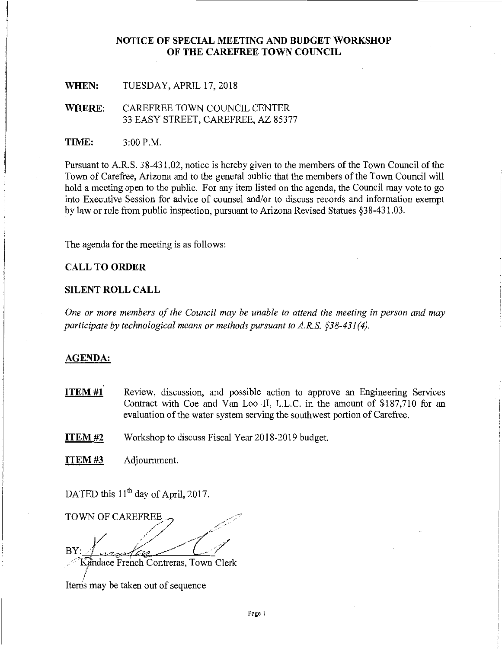# **NOTICE OF SPECIAL MEETING AND BUDGET WORKSHOP OF THE CAREFREE TOWN COUNCIL**

**WHEN:** TUESDAY, APRIL 17, 2018

**WHERE:** CAREFREE TOWN COUNCIL CENTER 33 EASY STREET, CAREFREE, AZ 85377

**TIME:** 3:00P.M.

Pursuant to A.R.S. 38-431.02, notice is hereby given to the members of the Town Council of the Town of Carefree, Arizona and to the general public that the members of the Town Council will hold a meeting open to the public. For any item listed on the agenda, the Council may vote to go into Executive Session for advice of counsel and/or to discuss records and information exempt by law or rule from public inspection, pursuant to Arizona Revised Statues §38-431.03.

The agenda for the meeting is as follows:

# **CALL TO ORDER**

# **SILENT ROLL CALL**

*One or more members of the Council may be unable to attend the meeting in person and may participate by technological means or methods pursuant to A.R.S. §38-431(4).* 

# **AGENDA:**

- **ITEM #1** Review, discussion, and possible action to approve an Engineering Services Contract with Coe and Van Loo II, L.L.C. in the amount of \$187,710 for an evaluation of the water system serving the southwest portion of Carefree.
- **ITEM #2** Workshop to discuss Fiscal Year 2018-2019 budget.

**ITEM #3** Adjournment.

DATED this  $11<sup>th</sup>$  day of April, 2017.

*TOWN OF CAREFREE* J/ ,/~// ·{/' ,,,,. ;/ *A* ·"" */•*   $\vee$  ,  $\vee$  ,  $\vee$  ,  $\vee$  $\text{BY:} \lim_{n\to\infty}\frac{f(x)}{f(x)}\qquadqquad \qquad \boxed{\qquad}$ . Kandace French Contreras, Town Clerk I

Items may be taken out of sequence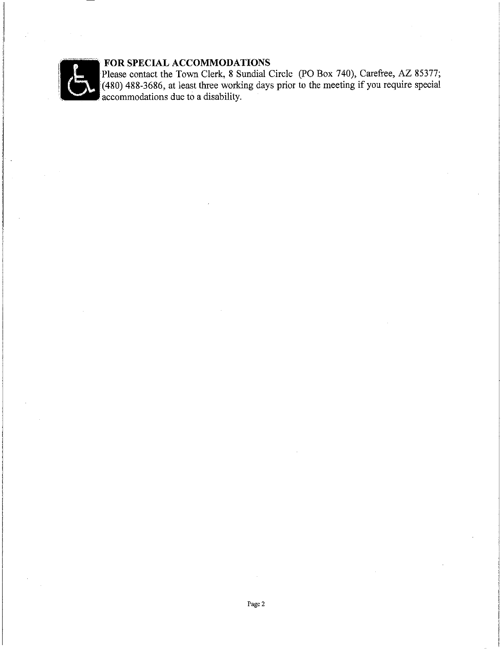# FOR SPECIAL ACCOMMODATIONS

Please contact the Town Clerk, 8 Sundial Circle (PO Box 740), Carefree, AZ 85377;<br>(480) 488-3686, at least three working days prior to the meeting if you require special accommodations due to a disability.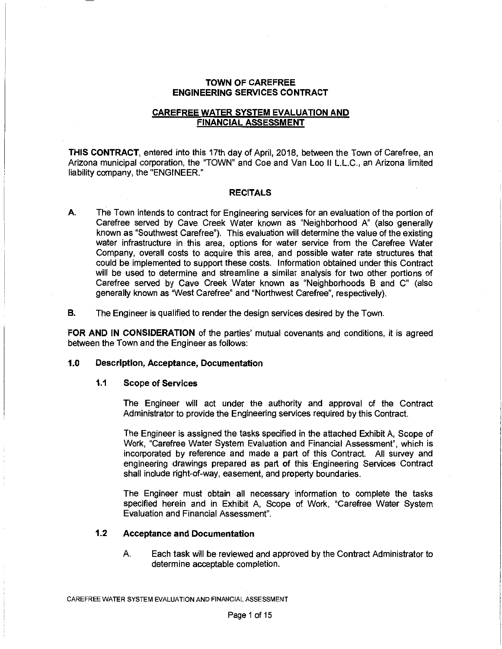# **TOWN OF CAREFREE ENGINEERING SERVICES CONTRACT**

# **CAREFREE WATER SYSTEM EVALUATION AND FINANCIAL ASSESSMENT**

**THIS CONTRACT,** entered into this 17th day of April, 2018, between the Town of Carefree, an Arizona municipal corporation, the "TOWN" and Coe and Van Loo II L.L.C., an Arizona limited liability company, the "ENGINEER."

# **RECITALS**

- **A.** The Town intends to contract for Engineering services for an evaluation of the portion of Carefree served by Cave Creek Water known as "Neighborhood A" (also generally known as "Southwest Carefree"). This evaluation will determine the value of the existing water infrastructure in this area, options for water service from the Carefree Water Company, overall costs to acquire this area, and possible water rate structures that could be implemented to support these costs. Information obtained under this Contract will be used to determine and streamline a similar analysis for two other portions of Carefree served by Cave Creek Water known as "Neighborhoods B and C" (also generally known as "West Carefree" and "Northwest Carefree", respectively).
- **B.** The Engineer is qualified to render the design services desired by the Town.

**FOR AND IN CONSIDERATION** of the parties' mutual covenants and conditions, it is agreed between the Town and the Engineer as follows:

# **1.0 Description, Acceptance, Documentation**

# **1.1 Scope of Services**

The Engineer will act under the authority and approval of the Contract Administrator to provide the Engineering services required by this Contract.

The Engineer is assigned the tasks specified in the attached Exhibit A, Scope of Work, "Carefree Water System Evaluation and Financial Assessment", which is incorporated by reference and made a part of this Contract. All survey and engineering drawings prepared as part of this Engineering Services Contract shall include right-of-way, easement, and property boundaries.

The Engineer must obtain all necessary information to complete the tasks specified herein and in Exhibit A, Scope of Work, "Carefree Water System Evaluation and Financial Assessment".

# **1.2 Acceptance and Documentation**

A. Each task will be reviewed and approved by the Contract Administrator to determine acceptable completion.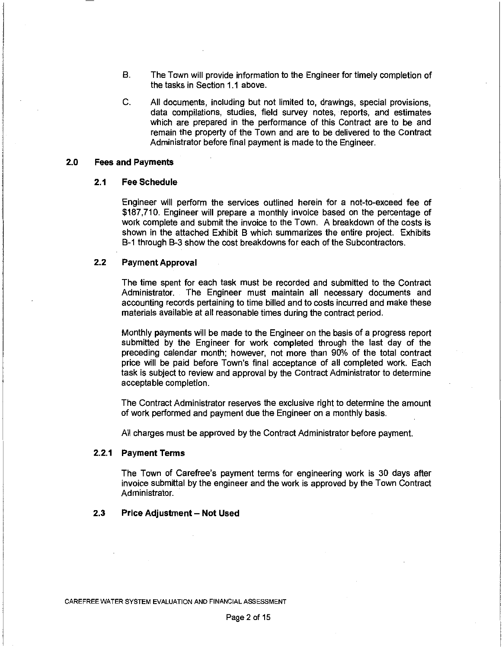- 8. The Town will provide information to the Engineer for timely completion of the tasks in Section 1.1 above.
- C. All documents, including but not limited to, drawings, special provisions, data compilations, studies, field survey notes, reports, and estimates which are prepared in the performance of this Contract are to be and remain the property of the Town and are to be delivered to the Contract Administrator before final payment is made to the Engineer.

#### **2.0 Fees and Payments**

# **2.1 Fee Schedule**

Engineer will perform the services outlined herein for a not-to-exceed fee of \$187,710. Engineer will prepare a monthly invoice based on the percentage of work complete and submit the invoice to the Town. A breakdown of the costs is shown in the attached Exhibit B which summarizes the entire project. Exhibits B-1 through B-3 show the cost breakdowns for each of the Subcontractors.

#### **2.2 Payment Approval**

The time spent for each task must be recorded and submitted to the Contract Administrator. The Engineer must maintain all necessary documents and accounting records pertaining to time billed and to costs incurred and make these materials available at all reasonable times during the contract period.

Monthly payments will be made to the Engineer on the basis of a progress report submitted by the Engineer for work completed through the last day of the preceding calendar month; however, not more than 90% of the total contract price will be paid before Town's final acceptance of all completed work. Each task is subject to review and approval by the Contract Administrator to determine acceptable completion.

The Contract Administrator reserves the exclusive right to determine the amount of work performed and payment due the Engineer on a monthly basis.

All charges must be approved by the Contract Administrator before payment.

#### **2.2.1 Payment Terms**

The Town of Carefree's payment terms for engineering work is 30 days after invoice submittal by the engineer and the work is approved by the Town Contract Administrator.

#### **2.3 Price Adjustment - Not Used**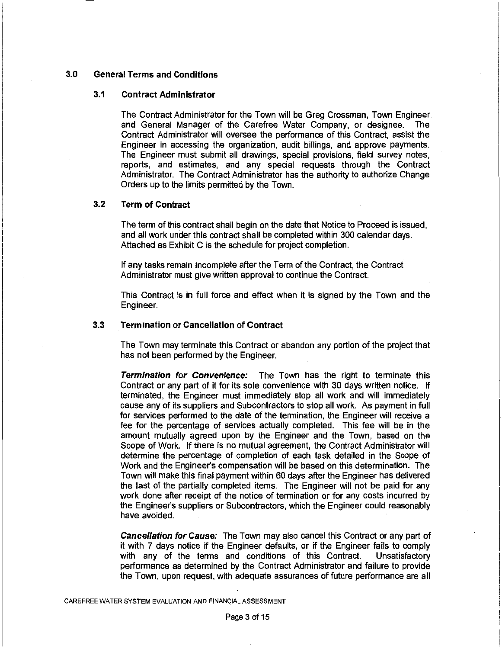# **3.0 General Terms and Conditions**

#### **3.1 Contract Administrator**

The Contract Administrator for the Town will be Greg Crossman, Town Engineer and General Manager of the Carefree Water Company, or designee. Contract Administrator will oversee the performance of this Contract, assist the Engineer in accessing the organization, audit billings, and approve payments. The Engineer must submit all drawings, special provisions, field survey notes, reports, and estimates, and any special requests through the Contract Administrator. The Contract Administrator has the authority to authorize Change Orders up to the limits permitted by the Town.

# **3.2 Term of Contract**

The term of this contract shall begin on the date that Notice to Proceed is issued, and all work under this contract shall be completed within 300 calendar days. Attached as Exhibit C is the schedule for project completion.

If any tasks remain incomplete after the Term of the Contract, the Contract Administrator must give written approval to continue the Contract.

This Contract is in full force and effect when it is signed by the Town and the Engineer.

# 3.3 **Termination or Cancellation of Contract**

The Town may terminate this Contract or abandon any portion of the project that has not been performed by the Engineer.

**Termination for Convenience:** The Town has the right to terminate this Contract or any part of it for its sole convenience with 30 days written notice. If terminated, the Engineer must immediately stop all work and will immediately cause any of its suppliers and Subcontractors to stop all work. As payment in full for services performed to the date of the termination, the Engineer will receive a fee for the percentage of services actually completed. This fee will be in the amount mutually agreed upon by the Engineer and the Town, based on the Scope of Work. If there is no mutual agreement, the Contract Administrator will determine the percentage of completion of each task detailed in the Scope of Work and the Engineer's compensation will be based on this determination. The Town will make this final payment within 60 days after the Engineer has delivered the last of the partially completed items. The Engineer will not be paid for any work done after receipt of the notice of termination or for any costs incurred by the Engineer's suppliers or Subcontractors, which the Engineer could reasonably have avoided.

**Cancellation for Cause:** The Town may also cancel this Contract or any part of it with 7 days notice if the Engineer defaults, or if the Engineer fails to comply with any of the terms and conditions of this Contract. Unsatisfactory performance as determined by the Contract Administrator and failure to provide the Town, upon request, with adequate assurances of future performance are all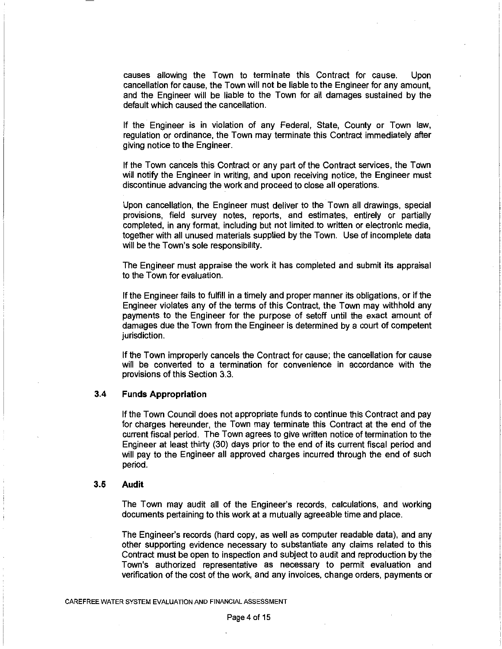causes allowing the Town to terminate this Contract for cause. Upon cancellation for cause, the Town will not be liable to the Engineer for any amount, and the Engineer will be liable to the Town for all damages sustained by the default which caused the cancellation.

If the Engineer is in violation of any Federal, State, County or Town law, regulation or ordinance, the Town may terminate this Contract immediately after giving notice to the Engineer.

If the Town cancels this Contract or any part of the Contract services, the Town will notify the Engineer in writing, and upon receiving notice, the Engineer must discontinue advancing the work and proceed to close all operations.

Upon cancellation, the Engineer must deliver to the Town all drawings, special provisions, field survey notes, reports, and estimates, entirely or partially completed, in any format, including but not limited to written or electronic media, together with all unused materials supplied by the Town. Use of incomplete data will be the Town's sole responsibility.

The Engineer must appraise the work it has completed and submit its appraisal to the Town for evaluation.

If the Engineer fails to fulfill in a timely and proper manner its obligations, or if the Engineer violates any of the terms of this Contract, the Town may withhold any payments to the Engineer for the purpose of setoff until the exact amount of damages due the Town from the Engineer is determined by a court of competent jurisdiction.

If the Town improperly cancels the Contract for cause; the cancellation for cause will be converted to a termination for convenience in accordance with the provisions of this Section 3.3.

# **3.4 Funds Appropriation**

If the Town Council does not appropriate funds to continue this Contract and pay for charges hereunder, the Town may terminate this Contract at the end of the current fiscal period. The Town agrees to give written notice of termination to the Engineer at least thirty (30) days prior to the end of its current fiscal period and will pay to the Engineer all approved charges incurred through the end of such period.

#### 3.5 **Audit**

The Town may audit all of the Engineer's records, calculations, and working documents pertaining to this work at a mutually agreeable time and place.

The Engineer's records (hard copy, as well as computer readable data), and any other supporting evidence necessary to substantiate any claims related to this Contract must be open to inspection and subject to audit and reproduction by the Town's authorized representative as necessary to permit evaluation and verification of the cost of the work, and any invoices, change orders, payments or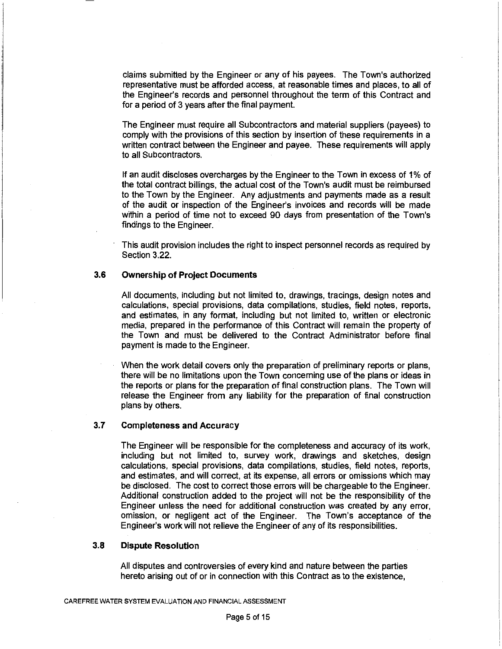claims submitted by the Engineer or any of his payees. The Town's authorized representative must be afforded access, at reasonable times and places, to all of the Engineer's records and personnel throughout the term of this Contract and for a period of 3 years after the final payment.

The Engineer must require all Subcontractors and material suppliers (payees) to comply with the provisions of this section by insertion of these requirements in a written contract between the Engineer and payee. These requirements will apply to all Subcontractors.

If an audit discloses overcharges by the Engineer to the Town in excess of 1% of the total contract billings, the actual cost of the Town's audit must be reimbursed to the Town by the Engineer. Any adjustments and payments made as a result of the audit or inspection of the Engineer's invoices and records will be made within a period of time not to exceed 90 days from presentation of the Town's findings to the Engineer.

This audit provision includes the right to inspect personnel records as required by Section 3.22.

## **3.6 Ownership of Project Documents**

All documents, including but not limited to, drawings, tracings, design notes and calculations, special provisions, data compilations, studies, field notes, reports, and estimates, in any format, including but not limited to, written or electronic media, prepared in the performance of this Contract will remain the property of the Town and must be delivered to the Contract Administrator before final payment is made to the Engineer.

When the work detail covers only the preparation of preliminary reports or plans, there will be no limitations upon the Town concerning use of the plans or ideas in the reports or plans for the preparation of final construction plans. The Town will release the Engineer from any liability for the preparation of final construction plans by others.

# **3.7 Completeness and Accuracy**

The Engineer will be responsible for the completeness and accuracy of its work, including but not limited to, survey work, drawings and sketches, design calculations, special provisions, data compilations, studies, field notes, reports, and estimates, and will correct, at its expense, all errors or omissions which may be disclosed. The cost to correct those errors will be chargeable to the Engineer. Additional construction added to the project will not be the responsibility of the Engineer unless the need for additional construction was created by any error, omission, or negligent act of the Engineer. The Town's acceptance of the Engineer's work will not relieve the Engineer of any of its responsibilities.

#### **3.8 Dispute Resolution**

All disputes and controversies of every kind and nature between the parties hereto arising out of or in connection with this Contract as to the existence,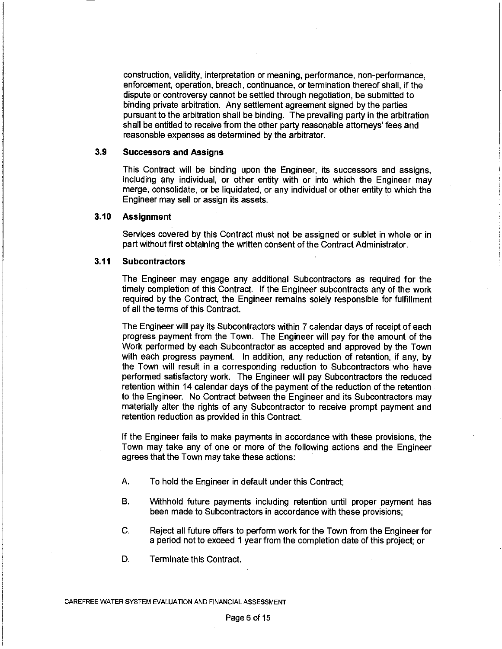construction, validity, interpretation or meaning, performance, non-performance, enforcement, operation, breach, continuance, or termination thereof shall, if the dispute or controversy cannot be settled through negotiation, be submitted to binding private arbitration. Any settlement agreement signed by the parties pursuant to the arbitration shall be binding. The prevailing party in the arbitration shall be entitled to receive from the other party reasonable attorneys' fees and reasonable expenses as determined by the arbitrator.

# **3.9 Successors and Assigns**

This Contract will be binding upon the Engineer, its successors and assigns, including any individual, or other entity with or into which the Engineer may merge, consolidate, or be liquidated, or any individual or other entity to which the Engineer may sell or assign its assets.

# **3.10 Assignment**

Services covered by this Contract must not be assigned or sublet in whole or in part without first obtaining the written consent of the Contract Administrator.

# **3.11 Subcontractors**

The Engineer may engage any additional Subcontractors as required for the timely completion of this Contract. If the Engineer subcontracts any of the work required by the Contract, the Engineer remains solely responsible for fulfillment of all the terms of this Contract.

The Engineer will pay its Subcontractors within 7 calendar days of receipt of each progress payment from the Town. The Engineer will pay for the amount of the Work performed by each Subcontractor as accepted and approved by the Town with each progress payment. In addition, any reduction of retention, if any, by the Town will result in a corresponding reduction to Subcontractors who have performed satisfactory work. The Engineer will pay Subcontractors the reduced retention within 14 calendar days of the payment of the reduction of the retention to the Engineer. No Contract between the Engineer and its Subcontractors may materially alter the rights of any Subcontractor to receive prompt payment and retention reduction as provided in this Contract.

If the Engineer fails to make payments in accordance with these provisions, the Town may take any of one or more of the following actions and the Engineer agrees that the Town may take these actions:

- A. To hold the Engineer in default under this Contract;
- B. Withhold future payments including retention until proper payment has been made to Subcontractors in accordance with these provisions;
- C. Reject all future offers to perform work for the Town from the Engineer for a period not to exceed 1 year from the completion date of this project; or
- D. Terminate this Contract.

CAREFREE WATER SYSTEM EVALUATION AND FINANCIAL ASSESSMENT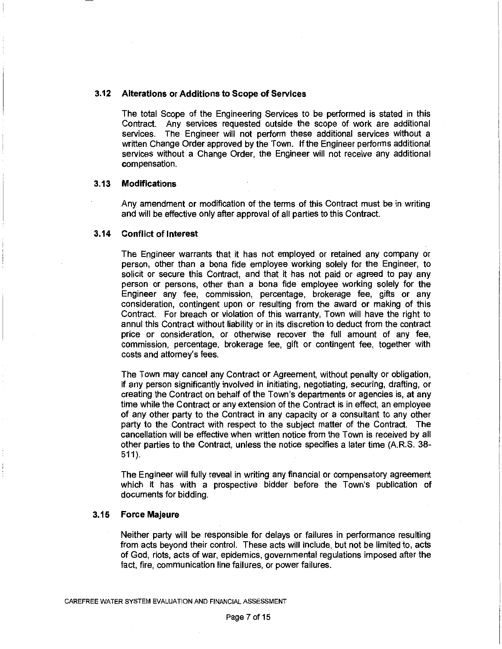#### **3.12 Alterations or Additions to Scope of Services**

The total Scope of the Engineering Services to be performed is stated in this Contract. Any services requested outside the scope of work are additional services. The Engineer will not perform these additional services without a written Change Order approved by the Town. If the Engineer performs additional services without a Change Order, the Engineer will not receive any additional compensation.

#### **3.13 Modifications**

Any amendment or modification of the terms of this Contract must be in writing and will be effective only after approval of all parties to this Contract.

#### **3.14 Conflict of Interest**

The Engineer warrants that it has not employed or retained any company or person, other than a bona fide employee working solely for the Engineer, to solicit or secure this Contract, and that it has not paid or agreed to pay any person or persons, other than a bona fide employee working solely for the Engineer any fee, commission, percentage, brokerage fee, gifts or any consideration, contingent upon or resulting from the award or making of this Contract. For breach or violation of this warranty, Town will have the right to annul this Contract without liability or in its discretion to deduct from the contract price or consideration, or otherwise recover the full amount of any fee, commission, percentage, brokerage fee, gift or contingent fee, together with costs and attorney's fees.

The Town may cancel any Contract or Agreement, without penalty or obligation, if any person significantly involved in initiating, negotiating, securing, drafting, or creating the Contract on behalf of the Town's departments or agencies is, at any time while the Contract or any extension of the Contract is in effect, an employee of any other party to the Contract in any capacity or a consultant to any other party to the Contract with respect to the subject matter of the Contract. The cancellation will be effective when written notice from the Town is received by all other parties to the Contract, unless the notice specifies a later time (A.R.S. 38- 511).

The Engineer will fully reveal in writing any financial or compensatory agreement which it has with a prospective bidder before the Town's publication of documents for bidding.

# **3.15 Force Majeure**

Neither party will be responsible for delays or failures in performance resulting from acts beyond their control. These acts will include, but not be limited to, acts of God, riots, acts of war, epidemics, governmental regulations imposed after the fact, fire, communication line failures, or power failures.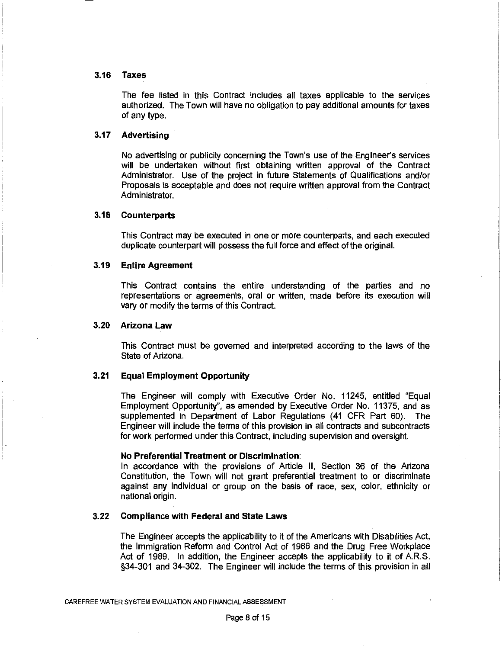#### **3.16 Taxes**

The fee listed in this Contract includes all taxes applicable to the services authorized. The Town will have no obligation to pay additional amounts for taxes of any type.

# **3.17 Advertising**

No advertising or publicity concerning the Town's use of the Engineer's services will be undertaken without first obtaining written approval of the Contract Administrator. Use of the project in future Statements of Qualifications and/or Proposals is acceptable and does not require written approval from the Contract Administrator.

## **3.18 Counterparts**

This Contract may be executed in one or more counterparts, and each executed duplicate counterpart will possess the full force and effect of the original.

#### **3.19 Entire Agreement**

This Contract contains the entire understanding of the parties and no representations or agreements, oral or written, made before its execution will vary or modify the terms of this Contract.

#### **3.20 Arizona Law**

This Contract must be governed and interpreted according to the laws of the State of Arizona.

# **3.21 Equal Employment Opportunity**

The Engineer will comply with Executive Order No. 11245, entitled "Equal Employment Opportunity", as amended by Executive Order No. 11375, and as supplemented in Department of Labor Regulations (41 CFR Part 60). The Engineer will include the terms of this provision in all contracts and subcontracts for work performed under this Contract, including supervision and oversight.

#### **No Preferential Treatment or Discrimination:**

In accordance with the provisions of Article II, Section 36 of the Arizona Constitution, the Town will not grant preferential treatment to or discriminate against any individual or group on the basis of race, sex, color, ethnicity or national origin.

#### **3.22 Compliance with Federal and State Laws**

The Engineer accepts the applicability to it of the Americans with Disabilities Act, the Immigration Reform and Control Act of 1986 and the Drug Free Workplace Act of 1989. In addition, the Engineer accepts the applicability to it of A.R.S. §34-301 and 34-302. The Engineer will include the terms of this provision in all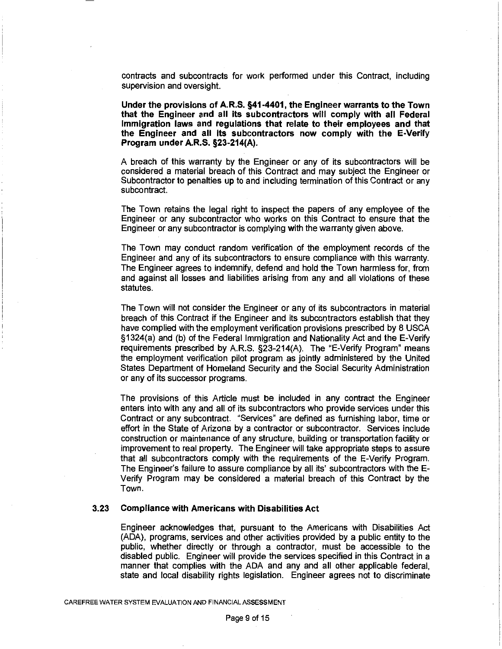contracts and subcontracts for work performed under this Contract, including supervision and oversight.

**Under the provisions of A.R.S. §41-4401, the Engineer warrants to the Town that the Engineer and all its subcontractors will comply with all Federal Immigration laws and regulations that relate to their employees and that the Engineer and all its subcontractors now comply with the E-Verify Program under A.R.S. §23-214(A).** 

A breach of this warranty by the Engineer or any of its subcontractors will be considered a material breach of this Contract and may subject the Engineer or Subcontractor to penalties up to and including termination of this Contract or any subcontract.

The Town retains the legal right to inspect the papers of any employee of the Engineer or any subcontractor who works on this Contract to ensure that the Engineer or any subcontractor is complying with the warranty given above.

The Town may conduct random verification of the employment records of the Engineer and any of its subcontractors to ensure compliance with this warranty. The Engineer agrees to indemnify, defend and hold the Town harmless for, from and against all losses and liabilities arising from any and all violations of these statutes.

The Town will not consider the Engineer or any of its subcontractors in material breach of this Contract if the Engineer and its subcontractors establish that they have complied with the employment verification provisions prescribed by 8 USCA §1324(a) and (b) of the Federal Immigration and Nationality Act and the E-Verify requirements prescribed by A.R.S. §23-214(A). The "E-Verify Program" means the employment verification pilot program as jointly administered by the United States Department of Homeland Security and the Social Security Administration or any of its successor programs.

The provisions of this Article must be included in any contract the Engineer enters into with any and all of its subcontractors who provide services under this Contract or any subcontract. "Services" are defined as furnishing labor, time or effort in the State of Arizona by a contractor or subcontractor. Services include construction or maintenance of any structure, building or transportation facility or improvement to real property. The Engineer will take appropriate steps to assure that all subcontractors comply with the requirements of the E-Verify Program. The Engineer's failure to assure compliance by all its' subcontractors with the E-Verify Program may be considered a material breach of this Contract by the Town.

#### **3.23 Compliance with Americans with Disabilities Act**

Engineer acknowledges that, pursuant to the Americans with Disabilities Act (ADA), programs, services and other activities provided by a public entity to the public, whether directly or through a contractor, must be accessible to the disabled public. Engineer will provide the services specified in this Contract in a manner that complies with the ADA and any and all other applicable federal, state and local disability rights legislation. Engineer agrees not to discriminate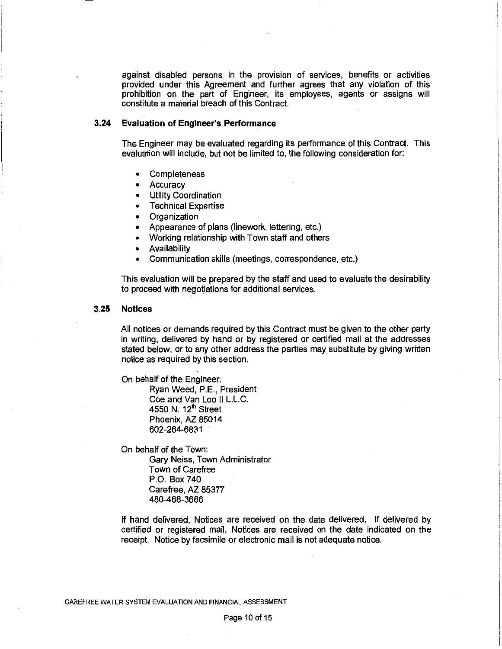against disabled persons in the provision of services, benefits or activities provided under this Agreement and further agrees that any violation of this prohibition on the part of Engineer, its employees, agents or assigns will constitute a material breach of this Contract.

# **3.24 Evaluation of Engineer's Performance**

The Engineer may be evaluated regarding its performance of this Contract. This evaluation will include, but not be limited to, the following consideration for:

- Completeness
- **Accuracy**
- Utility Coordination
- Technical Expertise
- Organization
- Appearance of plans (linework, lettering, etc.)
- Working relationship with Town staff and others
- Availability
- Communication skills (meetings, correspondence, etc.)

This evaluation will be prepared by the staff and used to evaluate the desirability to proceed with negotiations for additional services.

# **3.25 Notices**

All notices or demands required by this Contract must be given to the other party in writing, delivered by hand or by registered or certified mail at the addresses stated below, or to any other address the parties may substitute by giving written notice as required by this section.

On behalf of the Engineer: Ryan Weed, P.E., President Coe and Van Loo II L.L.C. 4550 N.  $12<sup>th</sup>$  Street Phoenix, AZ 85014 602-264-6831

On behalf of the Town: Gary Neiss, Town Administrator Town of Carefree P.O. Box740 Carefree, AZ 85377 480-488-3686

If hand delivered, Notices are received on the date delivered. If delivered by certified or registered mail, Notices are received on the date indicated on the receipt. Notice by facsimile or electronic mail is not adequate notice.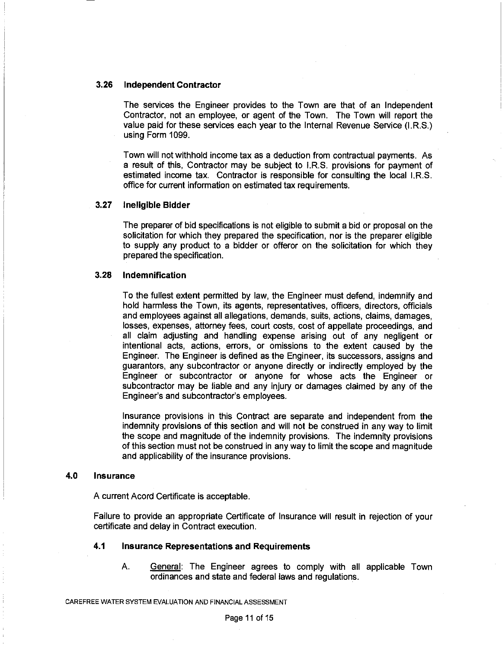#### **3.26 Independent Contractor**

The services the Engineer provides to the Town are that of an Independent Contractor, not an employee, or agent of the Town. The Town will report the value paid for these services each year to the Internal Revenue Service (l.R.S.) using Form 1099.

Town will not withhold income tax as a deduction from contractual payments. As a result of this, Contractor may be subject to l.R.S. provisions for payment of estimated income tax. Contractor is responsible for consulting the local l.R.S. office for current information on estimated tax requirements.

# **3.27 Ineligible Bidder**

The preparer of bid specifications is not eligible to submit a bid or proposal on the solicitation for which they prepared the specification, nor is the preparer eligible to supply any product to a bidder or offerer on the solicitation for which they prepared the specification.

# **3.28 Indemnification**

To the fullest extent permitted by law, the Engineer must defend, indemnify and hold harmless the Town, its agents, representatives, officers, directors, officials and employees against all allegations, demands, suits, actions, claims, damages, losses, expenses, attorney fees, court costs, cost of appellate proceedings, and all claim adjusting and handling expense arising out of any negligent or intentional acts, actions, errors, or omissions to the extent caused by the Engineer. The Engineer is defined as the Engineer, its successors, assigns and guarantors, any subcontractor or anyone directly or indirectly employed by the Engineer or subcontractor or anyone for whose acts the Engineer or subcontractor may be liable and any injury or damages claimed by any of the Engineer's and subcontractor's employees.

Insurance provisions in this Contract are separate and independent from the indemnity provisions of this section and will not be construed in any way to limit the scope and magnitude of the indemnity provisions. The indemnity provisions of this section must not be construed in any way to limit the scope and magnitude and applicability of the insurance provisions.

# **4.0 Insurance**

A current Acord Certificate is acceptable.

Failure to provide an appropriate Certificate of Insurance will result in rejection of your certificate and delay in Contract execution.

# **4.1 Insurance Representations and Requirements**

A. General: The Engineer agrees to comply with all applicable Town ordinances and state and federal laws and regulations.

CAREFREE WATER SYSTEM EVALUATION AND FINANCIAL ASSESSMENT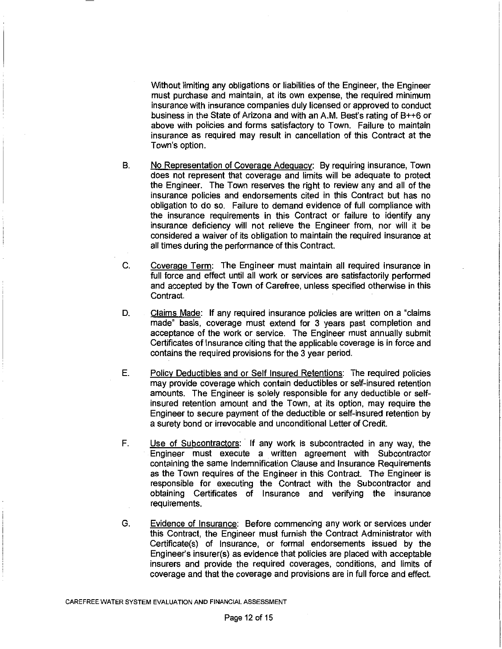Without limiting any obligations or liabilities of the Engineer, the Engineer must purchase and maintain, at its own expense, the required minimum insurance with insurance companies duly licensed or approved to conduct business in the State of Arizona and with an A.M. Best's rating of B++6 or above with policies and forms satisfactory to Town. Failure to maintain insurance as required may result in cancellation of this Contract at the Town's option.

- B. No Representation of Coverage Adequacy: By requiring insurance, Town does not represent that coverage and limits will be adequate to protect the Engineer. The Town reserves the right to review any and all of the insurance policies and endorsements cited in this Contract but has no obligation to do so. Failure to demand evidence of full compliance with the insurance requirements in this Contract or failure to identify any insurance deficiency will not relieve the Engineer from, nor will it be considered a waiver of its obligation to maintain the required insurance at all times during the performance of this Contract.
- C. Coverage Term: The Engineer must maintain all required insurance in full force and effect until all work or services are satisfactorily performed and accepted by the Town of Carefree, unless specified otherwise in this Contract.
- D. Claims Made: If any required insurance policies are written on a "claims made" basis, coverage must extend for 3 years past completion and acceptance of the work or service. The Engineer must annually submit Certificates of Insurance citing that the applicable coverage is in force and contains the required provisions for the 3 year period.
- E. Policy Deductibles and or Self Insured Retentions: The required policies may provide coverage which contain deductibles or self-insured retention amounts. The Engineer is solely responsible for any deductible or selfinsured retention amount and the Town, at its option, may require the Engineer to secure payment of the deductible or self-insured retention by a surety bond or irrevocable and unconditional Letter of Credit.
- F. Use of Subcontractors: If any work is subcontracted in any way, the Engineer must execute a written agreement with Subcontractor containing the same Indemnification Clause and Insurance Requirements as the Town requires of the Engineer in this Contract. The Engineer is responsible for executing the Contract with the Subcontractor and obtaining Certificates of Insurance and verifying the insurance requirements.
- G. Evidence of Insurance: Before commencing any work or services under this Contract, the Engineer must furnish the Contract Administrator with Certificate(s) of Insurance, or formal endorsements issued by the Engineer's insurer(s) as evidence that policies are placed with acceptable insurers and provide the required coverages, conditions, and limits of coverage and that the coverage and provisions are in full force and effect.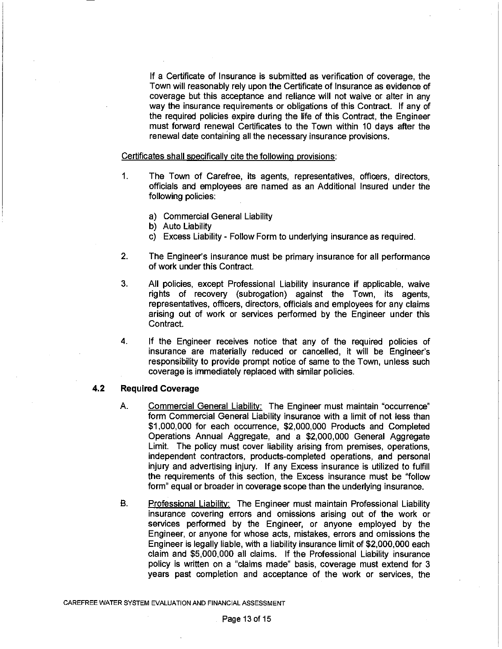If a Certificate of Insurance is submitted as verification of coverage, the Town will reasonably rely upon the Certificate of Insurance as evidence of coverage but this acceptance and reliance will not waive or alter in any way the insurance requirements or obligations of this Contract. If any of the required policies expire during the life of this Contract, the Engineer must forward renewal Certificates to the Town within 10 days after the renewal date containing all the necessary insurance provisions.

#### Certificates shall specifically cite the following provisions:

- 1. The Town of Carefree, its agents, representatives, officers, directors, officials and employees are named as an Additional Insured under the following policies:
	- a) Commercial General Liability
	- b) Auto Liability
	- c) Excess Liability Follow Form to underlying insurance as required.
- 2. The Engineer's insurance must be primary insurance for all performance of work under this Contract.
- 3. All policies, except Professional Liability insurance if applicable, waive rights of recovery (subrogation) against the Town, its agents, representatives, officers, directors, officials and employees for any claims arising out of work or services performed by the Engineer under this Contract.
- 4. If the Engineer receives notice that any of the required policies of insurance are materially reduced or cancelled, it will be Engineer's responsibility to provide prompt notice of same to the Town, unless such coverage is immediately replaced with similar policies.

# **4.2 Required Coverage**

- A. Commercial General Liability: The Engineer must maintain "occurrence" form Commercial General Liability insurance with a limit of not less than \$1,000,000 for each occurrence, \$2,000,000 Products and Completed Operations Annual Aggregate, and a \$2,000,000 General Aggregate Limit. The policy must cover liability arising from premises, operations, independent contractors, products-completed operations, and personal injury and advertising injury. If any Excess insurance is utilized to fulfill the requirements of this section, the Excess insurance must be "follow form" equal or broader in coverage scope than the underlying insurance.
- B. Professional Liability: The Engineer must maintain Professional Liability insurance covering errors and omissions arising out of the work or services performed by the Engineer, or anyone employed by the Engineer, or anyone for whose acts, mistakes, errors and omissions the Engineer is legally liable, with a liability insurance limit of \$2,000,000 each claim and \$5,000,000 all claims. If the Professional Liability insurance policy is written on a "claims made" basis, coverage must extend for 3 years past completion and acceptance of the work or services, the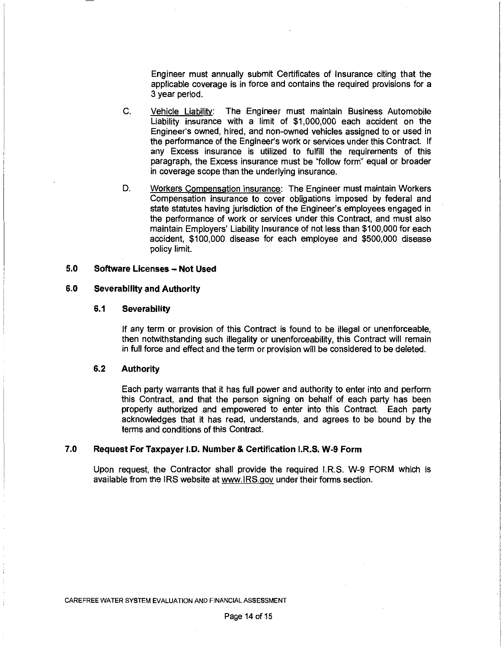Engineer must annually submit Certificates of Insurance citing that the applicable coverage is in force and contains the required provisions for a 3 year period.

- C. Vehicle Liability: The Engineer must maintain Business Automobile Liability insurance with a limit of \$1,000,000 each accident on the Engineer's owned, hired, and non-owned vehicles assigned to or used in the performance of the Engineer's work or services under this Contract. If any Excess insurance is utilized to fulfill the requirements of this paragraph, the Excess insurance must be "follow form" equal or broader in coverage scope than the underlying insurance.
- D. Workers Compensation Insurance: The Engineer must maintain Workers Compensation insurance to cover obligations imposed by federal and state statutes having jurisdiction of the Engineer's employees engaged in the performance of work or services under this Contract, and must also maintain Employers' Liability Insurance of not less than \$100,000 for each accident, \$100,000 disease for each employee and \$500,000 disease policy limit.

# **5.0 Software Licenses - Not Used**

# **6.0 Severability and Authority**

# **6.1 Severability**

If any term or provision of this Contract is found to be illegal or unenforceable, then notwithstanding such illegality or unenforceability, this Contract will remain in full force and effect and the term or provision will be considered to be deleted.

#### **6.2 Authority**

Each party warrants that it has full power and authority to enter into and perform this Contract, and that the person signing on behalf of each party has been properly authorized and empowered to enter into this Contract. Each party acknowledges that it has read, understands, and agrees to be bound by the terms and conditions of this Contract.

# **7.0 Request For Taxpayer l.D. Number & Certification l.R.S. W-9 Form**

Upon request, the Contractor shall provide the required I.RS. W-9 FORM which is available from the IRS website atwww.IRS.gov under their forms section.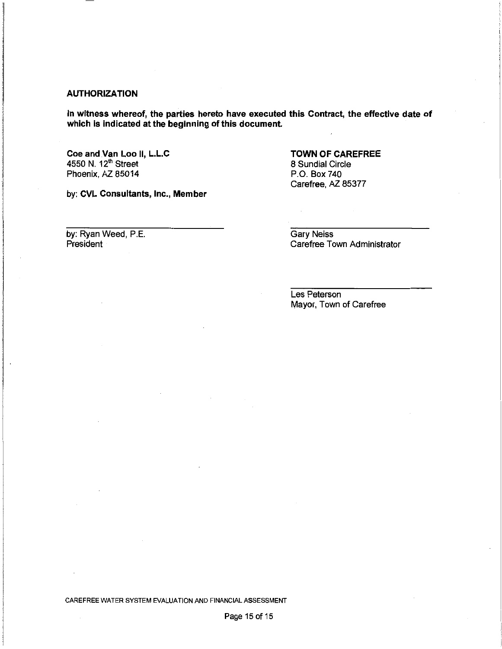# AUTHORIZATION

In witness whereof, the parties hereto have executed this Contract, the effective date of which is indicated at the beginning of this document.

Coe and Van Loo II, L.L.C 4550 N. 12<sup>th</sup> Street Phoenix, AZ 85014

by: CVL Consultants, Inc., Member

# TOWN OF CAREFREE

8 Sundial Circle P.O. Box740 Carefree, AZ 85377

by: Ryan Weed, P.E. **President** 

Gary Neiss Carefree Town Administrator

Les Peterson Mayor, Town of Carefree

CAREFREE WATER SYSTEM EVALUATION AND FINANCIAL ASSESSMENT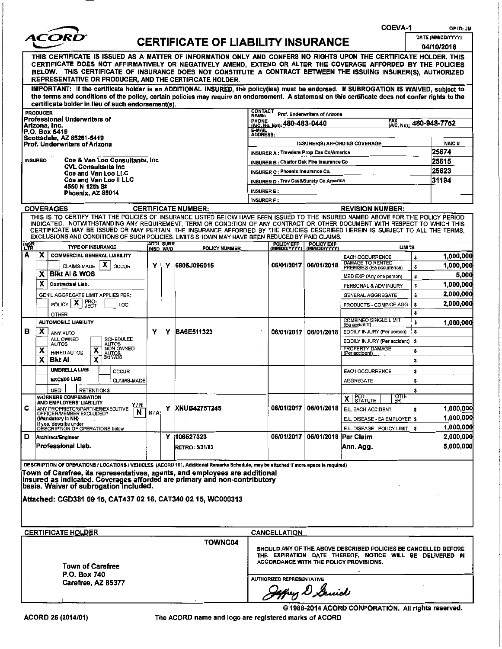| <i><b>ACORD®</b></i> |
|----------------------|
|                      |

# CERTIFICATE OF LIABILITY INSURANCE

COEVA-1 OPID· JM

DATE (MM/DD/YYYY) 04110/2018

|             |                 | THIS CERTIFICATE IS ISSUED AS A MATTER OF INFORMATION ONLY AND CONFERS NO RIGHTS UPON THE CERTIFICATE HOLDER. THIS<br>CERTIFICATE DOES NOT AFFIRMATIVELY OR NEGATIVELY AMEND, EXTEND OR ALTER THE COVERAGE AFFORDED BY THE POLICIES<br>BELOW. THIS CERTIFICATE OF INSURANCE DOES NOT CONSTITUTE A CONTRACT BETWEEN THE ISSUING INSURER(S), AUTHORIZED<br>REPRESENTATIVE OR PRODUCER, AND THE CERTIFICATE HOLDER. |     |                              |                            |                                                          |                                              |                                        |                                                                                                                                                                      |    |                         |  |  |  |  |  |
|-------------|-----------------|------------------------------------------------------------------------------------------------------------------------------------------------------------------------------------------------------------------------------------------------------------------------------------------------------------------------------------------------------------------------------------------------------------------|-----|------------------------------|----------------------------|----------------------------------------------------------|----------------------------------------------|----------------------------------------|----------------------------------------------------------------------------------------------------------------------------------------------------------------------|----|-------------------------|--|--|--|--|--|
|             |                 | IMPORTANT: If the certificate holder is an ADDITIONAL INSURED, the policy(ies) must be endorsed. If SUBROGATION IS WAIVED, subject to<br>the terms and conditions of the policy, certain policies may require an endorsement. A statement on this certificate does not confer rights to the<br>certificate holder in lieu of such endorsement(s).                                                                |     |                              |                            |                                                          |                                              |                                        |                                                                                                                                                                      |    |                         |  |  |  |  |  |
|             | <b>PRODUCER</b> |                                                                                                                                                                                                                                                                                                                                                                                                                  |     |                              |                            | <b>CONTACT</b><br>NAME:                                  |                                              | Prof. Underwriters of Arizona          |                                                                                                                                                                      |    |                         |  |  |  |  |  |
|             |                 | Professional Underwriters of                                                                                                                                                                                                                                                                                                                                                                                     |     |                              |                            |                                                          | <b>FRUNE</b><br>(A/C, No. Ext): 480-483-0440 |                                        | FAX                                                                                                                                                                  |    | (A/C, No): 480-948-7752 |  |  |  |  |  |
|             |                 | Arizona, Inc.<br>P.O. Box 5419                                                                                                                                                                                                                                                                                                                                                                                   |     |                              |                            | E-MAIL<br><b>ADDRESS:</b>                                |                                              |                                        |                                                                                                                                                                      |    |                         |  |  |  |  |  |
|             |                 | <b>Scottsdale, AZ 85261-5419</b>                                                                                                                                                                                                                                                                                                                                                                                 |     |                              |                            | NAIC#<br><b>INSURER(S) AFFORDING COVERAGE</b>            |                                              |                                        |                                                                                                                                                                      |    |                         |  |  |  |  |  |
|             |                 | <b>Prof. Underwriters of Arizona</b>                                                                                                                                                                                                                                                                                                                                                                             |     |                              |                            | 25674<br><b>INSURER A: Travelers Prop Cas Co/America</b> |                                              |                                        |                                                                                                                                                                      |    |                         |  |  |  |  |  |
|             | <b>INSURED</b>  | Coe & Van Loo Consultants, Inc.                                                                                                                                                                                                                                                                                                                                                                                  |     |                              |                            | 25615<br>INSURER B : Charter Oak Fire Insurance Co       |                                              |                                        |                                                                                                                                                                      |    |                         |  |  |  |  |  |
|             |                 | <b>CVL Consultanta Inc</b>                                                                                                                                                                                                                                                                                                                                                                                       |     |                              |                            |                                                          | <b>INSURER C: Phoenix Insurance Co.</b>      |                                        |                                                                                                                                                                      |    | 25623                   |  |  |  |  |  |
|             |                 | <b>Coe and Van Loo LLC</b><br>Coe and Van Loo II LLC                                                                                                                                                                                                                                                                                                                                                             |     |                              |                            |                                                          |                                              | INSURER D : Trav Cas&Surety Co America |                                                                                                                                                                      |    | 31194                   |  |  |  |  |  |
|             |                 | 4550 N 12th St                                                                                                                                                                                                                                                                                                                                                                                                   |     |                              |                            |                                                          |                                              |                                        |                                                                                                                                                                      |    |                         |  |  |  |  |  |
|             |                 | Phoenix, AZ 85014                                                                                                                                                                                                                                                                                                                                                                                                |     |                              |                            | <b>INSURER E:</b><br><b>INSURER F:</b>                   |                                              |                                        |                                                                                                                                                                      |    |                         |  |  |  |  |  |
|             |                 | <b>COVERAGES</b>                                                                                                                                                                                                                                                                                                                                                                                                 |     |                              | <b>CERTIFICATE NUMBER:</b> |                                                          |                                              |                                        | <b>REVISION NUMBER:</b>                                                                                                                                              |    |                         |  |  |  |  |  |
|             |                 | THIS IS TO CERTIFY THAT THE POLICIES OF INSURANCE LISTED BELOW HAVE BEEN ISSUED TO THE INSURED NAMED ABOVE FOR THE POLICY PERIOD                                                                                                                                                                                                                                                                                 |     |                              |                            |                                                          |                                              |                                        |                                                                                                                                                                      |    |                         |  |  |  |  |  |
|             |                 | INDICATED. NOTWITHSTANDING ANY REQUIREMENT, TERM OR CONDITION OF ANY CONTRACT OR OTHER DOCUMENT WITH RESPECT TO WHICH THIS<br>CERTIFICATE MAY BE ISSUED OR MAY PERTAIN. THE INSURANCE AFFORDED BY THE POLICIES DESCRIBED HEREIN IS SUBJECT TO ALL THE TERMS,<br>EXCLUSIONS AND CONDITIONS OF SUCH POLICIES. LIMITS SHOWN MAY HAVE BEEN REDUCED BY PAID CLAIMS.                                                   |     |                              |                            |                                                          |                                              |                                        |                                                                                                                                                                      |    |                         |  |  |  |  |  |
| <b>INSR</b> |                 | <b>TYPE OF INSURANCE</b>                                                                                                                                                                                                                                                                                                                                                                                         |     | <b>ADDL SUBR</b><br>INSD WVD | <b>POLICY NUMBER</b>       |                                                          | POLICY EFF                                   | POLICY EXP<br>(MM/DD/YYYY)             | <b>LIMITS</b>                                                                                                                                                        |    |                         |  |  |  |  |  |
| A           | x               | <b>COMMERCIAL GENERAL LIABILITY</b>                                                                                                                                                                                                                                                                                                                                                                              |     |                              |                            |                                                          |                                              |                                        | EACH OCCURRENCE<br>DAMAGE TO RENTED                                                                                                                                  | \$ | 1,000,000               |  |  |  |  |  |
|             |                 | CLAIMS-MADE   X   OCCUR                                                                                                                                                                                                                                                                                                                                                                                          | Y   |                              | Y 6805J096015              |                                                          | 06/01/2017                                   | 06/01/2018                             | PREMISES (Ea occurrence)                                                                                                                                             | S  | 1,000,000               |  |  |  |  |  |
|             | x               | <b>Bikt AI &amp; WOS</b>                                                                                                                                                                                                                                                                                                                                                                                         |     |                              |                            |                                                          |                                              |                                        | MED EXP (Any one person)                                                                                                                                             | \$ | 5,000                   |  |  |  |  |  |
|             | x               | Contractual Liab.                                                                                                                                                                                                                                                                                                                                                                                                |     |                              |                            |                                                          |                                              |                                        | PERSONAL & ADV INJURY                                                                                                                                                | s  | 1,000,000               |  |  |  |  |  |
|             |                 | GEN'L AGGREGATE LIMIT APPLIES PER:                                                                                                                                                                                                                                                                                                                                                                               |     |                              |                            |                                                          |                                              |                                        | GENERAL AGGREGATE                                                                                                                                                    | \$ | 2,000,000               |  |  |  |  |  |
|             |                 | POLICY $X$ $R_{\text{ECT}}^{\text{PRO}}$<br>LOC                                                                                                                                                                                                                                                                                                                                                                  |     |                              |                            |                                                          |                                              |                                        | PRODUCTS - COMP/OP AGG                                                                                                                                               | \$ | 2,000,000               |  |  |  |  |  |
|             |                 | OTHER:                                                                                                                                                                                                                                                                                                                                                                                                           |     |                              |                            |                                                          |                                              |                                        | <b>COMBINED SINGLE LIMIT</b>                                                                                                                                         | \$ |                         |  |  |  |  |  |
|             |                 | AUTOMOBILE LIABILITY                                                                                                                                                                                                                                                                                                                                                                                             |     |                              |                            |                                                          |                                              |                                        | (Ea accident)                                                                                                                                                        | \$ | 1,000,000               |  |  |  |  |  |
| B           | x               | ANY AUTO<br>ALL OWNED<br><b>SCHEDULED</b>                                                                                                                                                                                                                                                                                                                                                                        | Y   | Y                            | <b>IBA6E511323</b>         |                                                          | 06/01/2017                                   | 06/01/2018                             | BODILY INJURY (Per person)                                                                                                                                           | s  |                         |  |  |  |  |  |
|             |                 | <b>AUTOS</b><br><b>AUTOS</b><br>NON-OWNED                                                                                                                                                                                                                                                                                                                                                                        |     |                              |                            |                                                          |                                              |                                        | BODILY INJURY (Per accident)<br>PROPERTY DAMAGE                                                                                                                      | \$ |                         |  |  |  |  |  |
|             | х               | $\overline{\mathbf{x}}$<br><b>HIRED AUTOS</b><br><b>AYT88</b><br>$\overline{\mathbf{x}}$                                                                                                                                                                                                                                                                                                                         |     |                              |                            |                                                          |                                              |                                        | (Per accident)                                                                                                                                                       | \$ |                         |  |  |  |  |  |
|             | x               | Bkt Al                                                                                                                                                                                                                                                                                                                                                                                                           |     |                              |                            |                                                          |                                              |                                        |                                                                                                                                                                      | \$ |                         |  |  |  |  |  |
|             |                 | <b>UMBRELLA LIAB</b><br>OCCUR                                                                                                                                                                                                                                                                                                                                                                                    |     |                              |                            |                                                          |                                              |                                        | <b>EACH OCCURRENCE</b>                                                                                                                                               | s  |                         |  |  |  |  |  |
|             |                 | <b>EXCESS LIAB</b><br><b>CLAIMS-MADE</b>                                                                                                                                                                                                                                                                                                                                                                         |     |                              |                            |                                                          |                                              |                                        | <b>AGGREGATE</b>                                                                                                                                                     | \$ |                         |  |  |  |  |  |
|             |                 | <b>DED</b><br><b>RETENTIONS</b><br><b>WORKERS COMPENSATION</b>                                                                                                                                                                                                                                                                                                                                                   |     |                              |                            |                                                          |                                              |                                        | ੂਨਜ਼ਾ-<br>ER                                                                                                                                                         | s  |                         |  |  |  |  |  |
|             |                 | AND EMPLOYERS' LIABILITY<br>Y / N                                                                                                                                                                                                                                                                                                                                                                                |     |                              |                            |                                                          |                                              |                                        | <b>X</b> STATUTE                                                                                                                                                     |    | 1.000.000               |  |  |  |  |  |
| C           |                 | ANY PROPRIETOR/PARTNER/EXECUTIVE<br>N<br>OFFICER/MEMBER EXCLUDED?                                                                                                                                                                                                                                                                                                                                                | N/A |                              |                            |                                                          | 06/01/2017                                   | 06/01/2018                             | E.L. EACH ACCIDENT                                                                                                                                                   | Ŝ  | 1,000,000               |  |  |  |  |  |
|             |                 | (Mandatory in NH)<br>If yes, describe under                                                                                                                                                                                                                                                                                                                                                                      |     |                              |                            |                                                          |                                              |                                        | E.L. DISEASE - EA EMPLOYEE \$                                                                                                                                        |    | 1,000,000               |  |  |  |  |  |
|             |                 | DESCRIPTION OF OPERATIONS below                                                                                                                                                                                                                                                                                                                                                                                  |     |                              | Y 106527323                |                                                          | 06/01/2017                                   | 06/01/2018 Per Claim                   | E.L. DISEASE - POLICY LIMIT                                                                                                                                          | S  | 2,000,000               |  |  |  |  |  |
| D           |                 | Architect/Engineer                                                                                                                                                                                                                                                                                                                                                                                               |     |                              |                            |                                                          |                                              |                                        |                                                                                                                                                                      |    | 5,000,000               |  |  |  |  |  |
|             |                 | Professional Llab.                                                                                                                                                                                                                                                                                                                                                                                               |     |                              | <b>RETRO: 5/31/83</b>      |                                                          |                                              |                                        | Ann. Agg.                                                                                                                                                            |    |                         |  |  |  |  |  |
|             |                 | DESCRIPTION OF OPERATIONS / LOCATIONS / VEHICLES (ACORD 101, Additional Remarks Schedule, may be attached if more space is required)<br>Town of Carefree, its representatives, agents, and employees are additional<br>insured as indicated. Coverages afforded are primary and non-contributory<br>basis. Waiver of subrogation included.<br>Attached: CGD381 09 15, CAT437 02 16, CAT340 02 15, WC000313       |     |                              |                            |                                                          |                                              |                                        |                                                                                                                                                                      |    |                         |  |  |  |  |  |
|             |                 | <b>CERTIFICATE HOLDER</b>                                                                                                                                                                                                                                                                                                                                                                                        |     |                              |                            |                                                          | <b>CANCELLATION</b>                          |                                        |                                                                                                                                                                      |    |                         |  |  |  |  |  |
|             |                 |                                                                                                                                                                                                                                                                                                                                                                                                                  |     |                              | TOWNC04                    |                                                          |                                              |                                        |                                                                                                                                                                      |    |                         |  |  |  |  |  |
|             |                 | <b>Town of Carefree</b><br>P.O. Box 740                                                                                                                                                                                                                                                                                                                                                                          |     |                              |                            |                                                          |                                              |                                        | SHOULD ANY OF THE ABOVE DESCRIBED POLICIES BE CANCELLED BEFORE<br>THE EXPIRATION DATE THEREOF, NOTICE WILL BE DELIVERED IN<br>ACCORDANCE WITH THE POLICY PROVISIONS. |    |                         |  |  |  |  |  |
|             |                 | Carefree, AZ 85377                                                                                                                                                                                                                                                                                                                                                                                               |     |                              |                            |                                                          | <b>AUTHORIZED REPRESENTATIVE</b>             | Jeffrey D Servich                      |                                                                                                                                                                      |    |                         |  |  |  |  |  |
|             |                 |                                                                                                                                                                                                                                                                                                                                                                                                                  |     |                              |                            |                                                          |                                              |                                        | © 1988-2014 ACORD CORPORATION. All rights reserved.                                                                                                                  |    |                         |  |  |  |  |  |

ACORD 25 (2014/01) The ACORD name and logo are registered marks of ACORD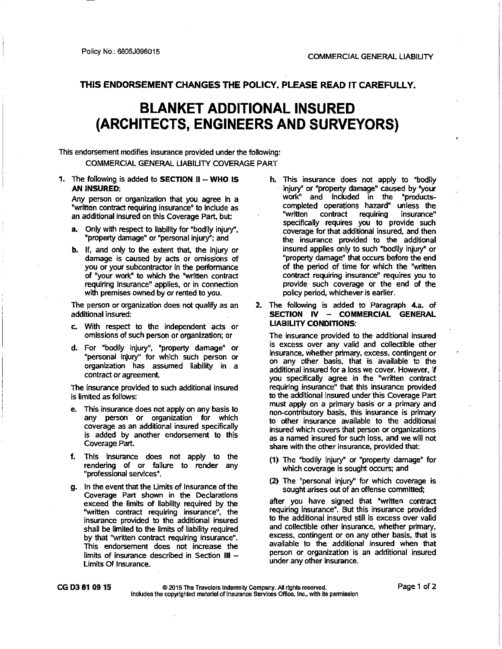#### **THIS ENDORSEMENT CHANGES THE POLICY. PLEASE READ IT CAREFULLY.**

# **BLANKET ADDITIONAL INSURED (ARCHITECTS, ENGINEERS AND SURVEYORS)**

This endorsement modifies insurance provided under the following: COMMERCIAL GENERAL LIABILITY COVERAGE PART

#### **1.** The following is added to **SECTION II - WHO IS AN INSURED:**

Any person or organization that you agree in a "written contract requiring insurance' to include as an additional insured on this Coverage Part, but:

- **a.** Only with respect to liability for "bodily injury", "property damage" or "personal injury"; and
- **b.** If, and only to the extent that, the injury or damage is caused by acts or omissions of you or your subcontractor in the performance of "your work" to which the "written contract requiring insurance" applies, or in connection with premises owned by or rented to you.

The person or organization does not qualify as an additional insured:

- c. With respect to the independent acts or omissions of such person or organization; or
- **d.** For "bodily injury", "property damage" or **11personal injury11 for which such person or**  organization has assumed liability in a contract or agreement.

The insurance provided to such additional insured is limited as follows:

- e. This insurance does not apply on any basis to any person or organization for which coverage as an additional insured specifically is added by another endorsement to this Coverage Part.
- **f,** This insurance does not apply to the rendering of or failure to render any **"professional services".**
- **g.** In the event that the Limits of Insurance of the Coverage Part shown in the Declarations exceed the limits of liability required by the **11written contract requiring insurance", the**  insurance provided to the additional insured shall be limited to the limits of liability required by that ''written contract requiring insurance". This endorsement does not increase the limits of insurance described in Section  $III -$ Limits Of Insurance.
- **h.** This insurance does not apply to "bodily injury" or "property damage" caused by "your work" and included in the "productscompleted operations hazard" unless the **"written contract requiring insurance"**  specifically requires you to provide such coverage for that additional insured, and then the insurance provided to the additional insured applies only to such "bodily injury'' or "property damage" that occurs before the end of the period of time for which the "written contract requiring insurance" requires you to provide such coverage or the end of the policy period, whichever is earlier.
- 2. The following is added to Paragraph 4.a. of **SECTION IV - COMMERCIAL GENERAL LIABILITY CONDITIONS:**

The insurance provided to the additional insured is excess over any valid and collectible other insurance. whether primary, excess, contingent or on any other basis, that is available to the additional insured for a loss we cover. However, if you specifically agree in the "written contract requiring insurance" that this insurance provided to the additional insured under this Coverage Part must apply on a primary basis or a primary and non-contributory basis, this insurance is primary to other insurance available to the additional insured which covers that person or organizations as a named insured for such loss, and we will not share with the other insurance, provided that:

- **(1)** The "bodily injury" or "property damage" for which coverage is sought occurs; and
- (2) The "personal injury" for which coverage is sought arises out of an offense committed;

after you have signed that "written contract requiring insurance". But this insurance provided to the additional insured still is excess over valid and collectible other insurance, whether primary, excess, contingent or on any other basis, that is available to the additional insured when that person or organization is an additional insured under any other insurance.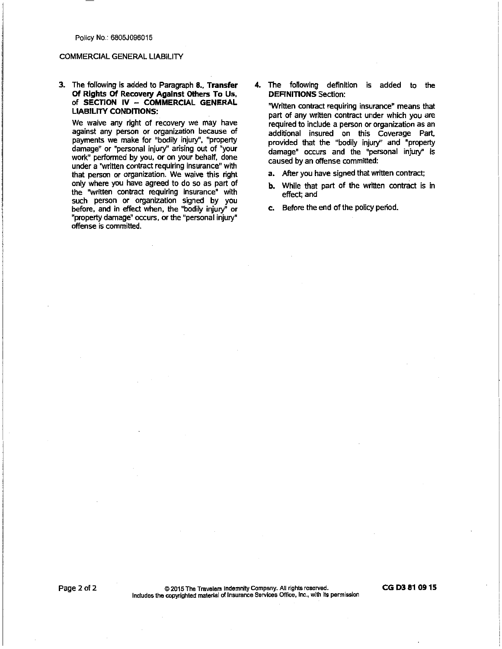#### COMMERCIAL GENERAL LIABILITY

**3.** The following is added to Paragraph **8., Transfer Of Rights Of Recovery Against Others To Us,**  of **SECTION IV - COMMERCIAL GENERAL LIABILITY CONDITIONS:** 

We waive any right of recovery we may have against any person or organization because of payments we make for "bodily injury", "property **damage" or "personal injury" arising out of "your**  work" performed by you. or on your behalf, done under a "written contract requiring insurance" with that person or organization. We waive this right only where you have agreed to do so as part of the "written contract requiring insurance" with such person or organization signed by you before, and in effect when, the "bodily injury" or **"property damage" occurs, or the "personal injury"**  offense is committed.

**4.** The following definition is added to the **DEFINITIONS** Section:

"Written contract requiring insurance" means that part of any written contract under which you are required to include a person or organization as an additional insured on this Coverage Part, provided that the "bodily injury" and "property damage" occurs and the "personal injury" is caused by an offense committed:

- **a.** After you have signed that written contract;
- **b.** While that part of the written contract is in effect; and
- **c.** Before the end of the policy period.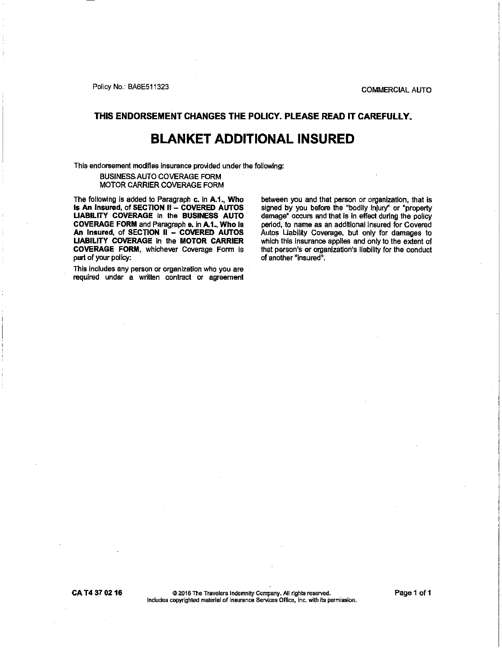Policy No.: BA6E511323 COMMERCIAL AUTO

# THIS ENDORSEMENT CHANGES THE POLICY. PLEASE READ IT CAREFULLY.

# BLANKET ADDITIONAL INSURED

This endorsement modifies insurance provided under the following:

#### BUSINESS AUTO COVERAGE FORM MOTOR CARRIER COVERAGE FORM

The following is added to Paragraph c. in A.1., Who Is An Insured, of SECTION II - COVERED AUTOS LIABILITY COVERAGE in the BUSINESS AUTO COVERAGE FORM and Paragraph e. in A.1., Who Is An Insured, of SECTION II - COVERED AUTOS LIABILITY COVERAGE In the MOTOR CARRIER COVERAGE FORM, whichever Coverage Form Is part of your policy:

This includes any person or organization who you are required under a written contract or agreement

between you and that person or organization, that is signed by you before the "bodily Injury" or "property damage" occurs and that is in effect during the policy period, to name as an addltional insured for Covered Autos Liability Coverage, but only for damages to which this insurance applies and only to the extent of that person's or organization's liability for the conduct of another "Insured".

CAT4370216 © 2016 The Travelers Indemnity Company. All rights reserved. Page 1of1 Includes copyrighted material of Insurance Services Office, Inc. with its permission.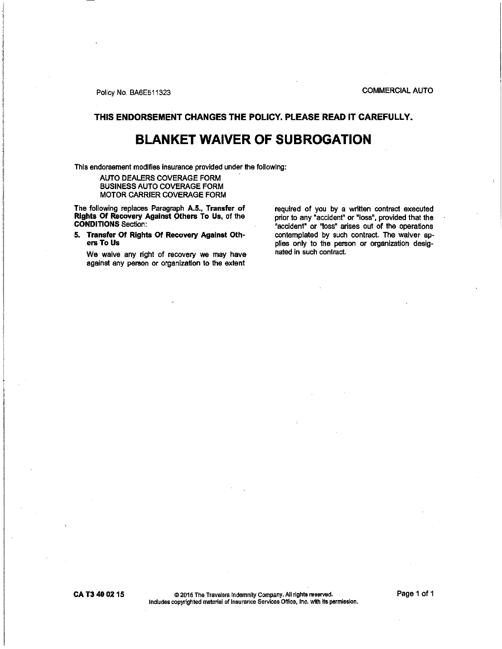Policy No. BA6E511323 COMMERCIAL AUTO

# THIS ENDORSEMENT CHANGES THE POLICY. PLEASE READ IT CAREFULLY.

# BLANKET WAIVER OF SUBROGATION

This endorsement modifies insurance provided under the following:

AUTO DEALERS COVERAGE FORM BUSINESS AUTO COVERAGE FORM MOTOR CARRIER COVERAGE FORM

The following replaces Paragraph A.5., Transfer of Rights Of Recovery Against Others To Us, of the CONDITIONS Section:

5. Transfer Of Rights Of Recovery Against Others To Us

We waive any right of recovery we may have against any person or organization to the extent

required of you by a written contract executed prior to any "accident" or "loss", provided that the "accident" or "loss" arises out of the operations contemplated by such contract. The waiver applies only to the person or organization designated in such contract.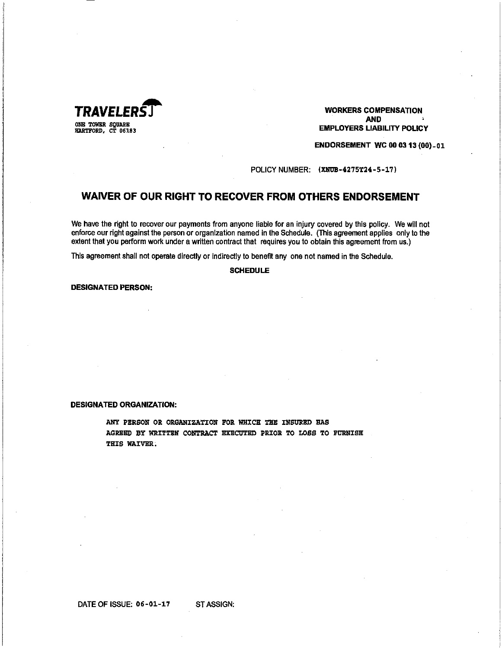

**WORKERS COMPENSATION AND EMPLOYERS LIABILITY POLICY ENDORSEMENT WC 00 03 13 (00)-01** 

POLICY NUMBER: (XNUB-4275T24-5-17)

# **WAIVER OF OUR RIGHT TO RECOVER FROM OTHERS ENDORSEMENT**

We have the right to recover our payments from anyone liable for an injury covered by this policy. We will not enforce our right against the person or organization named in the Schedule. (This agreement applies only to the extent that you perform work under a written contract that requires you to obtain this agreement from us.)

This agreement shall not operate directly or indirectly to benefit any one not named in the Schedule.

**SCHEDULE** 

#### **DESIGNATED PERSON:**

#### **DESIGNATED ORGANIZATION:**

ANY PERSON OR ORGANIZATION FOR WHICH THE INSURED BAS AGREED BY WRITTEN CONTRACT EXECUTED PRIOR TO LOSS TO FURNISH THIS WAIVER.

DATE OF ISSUE: 06-01-17 ST ASSIGN: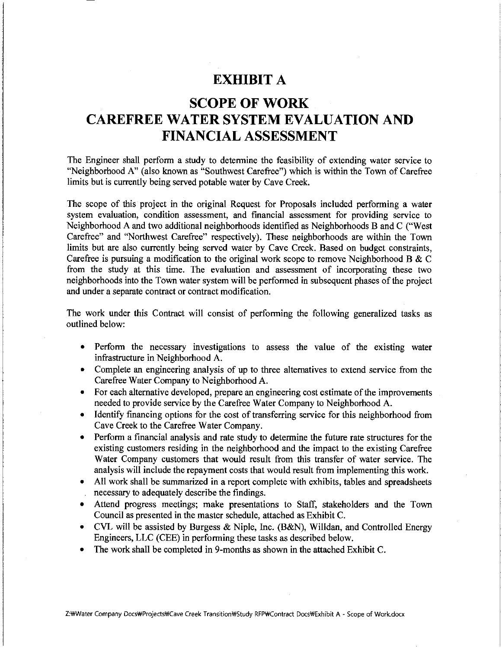# **EXHIBIT A**

# **SCOPE OF WORK CAREFREE WATER SYSTEM EVALUATION AND FINANCIAL ASSESSMENT**

The Engineer shall perform a study to determine the feasibility of extending water service to "Neighborhood A" (also known as "Southwest Carefree") which is within the Town of Carefree limits but is currently being served potable water by Cave Creek.

The scope of this project in the original Request for Proposals included performing a water system evaluation, condition assessment, and financial assessment for providing service to Neighborhood A and two additional neighborhoods identified as Neighborhoods B and C ("West Carefree" and "Northwest Carefree" respectively). These neighborhoods are within the Town limits but are also currently being served water by Cave Creek. Based on budget constraints, Carefree is pursuing a modification to the original work scope to remove Neighborhood B & C from the study at this time. The evaluation and assessment of incorporating these two neighborhoods into the Town water system will be performed in subsequent phases of the project and under a separate contract or contract modification.

The work under this Contract will consist of performing the following generalized tasks as outlined below:

- Perform the necessary investigations to assess the value of the existing water infrastructure in Neighborhood A.
- Complete an engineering analysis of up to three alternatives to extend service from the Carefree Water Company to Neighborhood A.
- For each alternative developed, prepare an engineering cost estimate of the improvements needed to provide service by the Carefree Water Company to Neighborhood A.
- Identify financing options for the cost of transferring service for this neighborhood from Cave Creek to the Carefree Water Company.
- Perform a financial analysis and rate study to determine the future rate structures for the existing customers residing in the neighborhood and the impact to the existing Carefree Water Company customers that would result from this transfer of water service. The analysis will include the repayment costs that would result from implementing this work.
- All work shall be summarized in a report complete with exhibits, tables and spreadsheets necessary to adequately describe the findings.
- Attend progress meetings; make presentations to Staff, stakeholders and the Town Council as presented in the master schedule, attached as Exhibit C.
- CVL will be assisted by Burgess & Niple, Inc. (B&N), Willdan, and Controlled Energy Engineers, LLC (CEE) in performing these tasks as described below.
- The work shall be completed in 9-months as shown in the attached Exhibit C.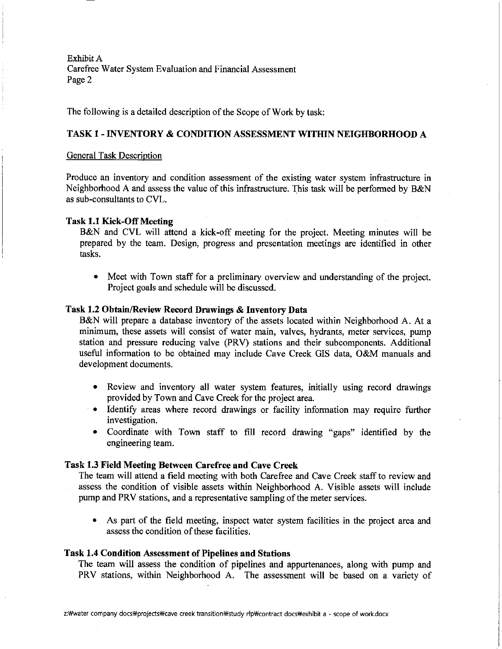The following is a detailed description of the Scope of Work by task:

# TASK 1 - INVENTORY & CONDITION ASSESSMENT WITHIN NEIGHBORHOOD A

# General Task Description

Produce an inventory and condition assessment of the existing water system infrastructure in Neighborhood A and assess the value of this infrastructure. This task will be performed by B&N as sub-consultants to CVL.

# Task 1.1 Kick-Off Meeting

B&N and CVL will attend a kick-off meeting for the project. Meeting minutes will be prepared by the team. Design, progress and presentation meetings are identified in other tasks.

• Meet with Town staff for a preliminary overview and understanding of the project. Project goals and schedule will be discussed.

# Task 1.2 Obtain/Review Record Drawings & Inventory Data

B&N will prepare a database inventory of the assets located within Neighborhood A. At a minimum, these assets will consist of water main, valves, hydrants, meter services, pump station and pressure reducing valve (PRV) stations and their subcomponents. Additional useful information to be obtained may include Cave Creek GIS data, O&M manuals and development documents.

- Review and inventory all water system features, initially using record drawings provided by Town and Cave Creek for the project area.
- Identify areas where record drawings or facility information may require further investigation.
- Coordinate with Town staff to fill record drawing "gaps" identified by the engineering team.

# Task 1.3 Field Meeting Between Carefree and Cave Creek

The team will attend a field meeting with both Carefree and Cave Creek staff to review and assess the condition of visible assets within Neighborhood A. Visible assets will include pump and PRV stations, and a representative sampling of the meter services.

• As part of the field meeting, inspect water system facilities in the project area and assess the condition of these facilities.

# Task 1.4 Condition Assessment of Pipelines and Stations

The team will assess the condition of pipelines and appurtenances, along with pump and PRV stations, within Neighborhood A. The assessment will be based on a variety of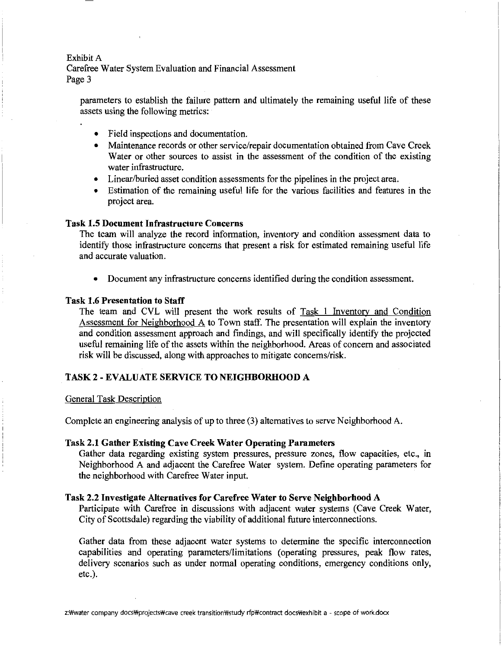parameters to establish the failure pattern and ultimately the remaining useful life of these assets using the following metrics:

- Field inspections and documentation.
- Maintenance records or other service/repair documentation obtained from Cave Creek Water or other sources to assist in the assessment of the condition of the existing water infrastructure.
- Linear/buried asset condition assessments for the pipelines in the project area.
- Estimation of the remaining useful life for the various facilities and features in the project area.

# Task 1.5 Document Infrastructure Concerns

The team will analyze the record information, inventory and condition assessment data to identify those infrastructure concerns that present a risk for estimated remaining useful life and accurate valuation.

• Document any infrastructure concerns identified during the condition assessment.

# Task 1.6 Presentation to Staff

The team and CVL will present the work results of Task 1 Inventory and Condition Assessment for Neighborhood A to Town staff. The presentation will explain the inventory and condition assessment approach and fmdings, and will specifically identify the projected useful remaining life of the assets within the neighborhood. Areas of concern and associated risk will be discussed, along with approaches to mitigate concerns/risk.

# TASK 2 - EVALUATE SERVICE TO NEIGHBORHOOD A

#### General Task Description

Complete an engineering analysis of up to three (3) alternatives to serve Neighborhood A.

## Task 2.1 Gather Existing Cave Creek Water Operating Parameters

Gather data regarding existing system pressures, pressure zones, flow capacities, etc., in Neighborhood A and adjacent the Carefree Water system. Define operating parameters for the neighborhood with Carefree Water input.

#### Task 2.2 Investigate Alternatives for Carefree Water to Serve Neighborhood A

Participate with Carefree in discussions with adjacent water systems (Cave Creek Water, City of Scottsdale) regarding the viability of additional future interconnections.

Gather data from these adjacent water systems to determine the specific interconnection capabilities and operating parameters/limitations (operating pressures, peak flow rates, delivery scenarios such as under normal operating conditions, emergency conditions only, etc.).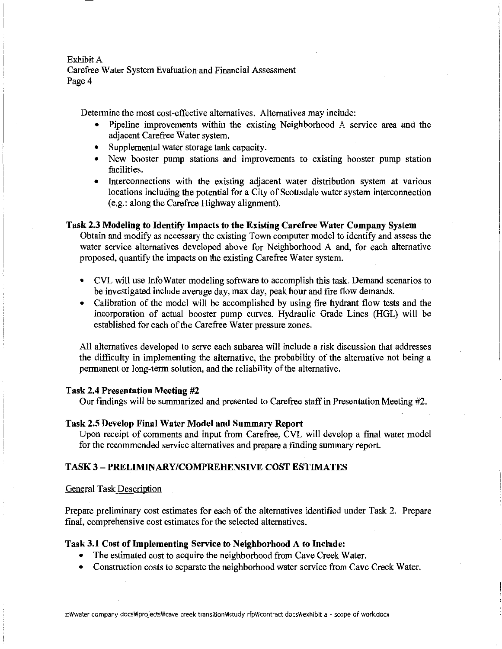Determine the most cost-effective alternatives. Alternatives may include:

- Pipeline improvements within the existing Neighborhood A service area and the adjacent Carefree Water system.
- Supplemental water storage tank capacity.
- New booster pump stations and improvements to existing booster pump station facilities.
- Interconnections with the existing adjacent water distribution system at various locations including the potential for a City of Scottsdale water system interconnection (e.g.: along the Carefree Highway alignment).

# **Task 2.3 Modeling to Identify Impacts to the Existing Carefree Water Company System**

Obtain and modify as necessary the existing Town computer model to identify and assess the water service alternatives developed above for Neighborhood A and, for each alternative proposed, quantify the impacts on the existing Carefree Water system.

- CVL will use Info Water modeling software to accomplish this task. Demand scenarios to be investigated include average day, max day, peak hour and fire flow demands.
- Calibration of the model will be accomplished by using fire hydrant flow tests and the incorporation of actual booster pump curves. Hydraulic Grade Lines (HGL) will be established for each of the Carefree Water pressure zones.

All alternatives developed to serve each subarea will include a risk discussion that addresses the difficulty in implementing the alternative, the probability of the alternative not being a permanent or long-term solution, and the reliability of the alternative.

# **Task 2.4 Presentation Meeting #2**

Our findings will be summarized and presented to Carefree staff in Presentation Meeting #2.

# **Task 2.5 Develop Final Water Model and Summary Report**

Upon receipt of comments and input from Carefree, CVL will develop a final water model for the recommended service alternatives and prepare a finding summary report.

# **TASK 3 - PRELIMINARY /COMPREHENSIVE COST ESTIMATES**

#### General Task Description

Prepare preliminary cost estimates for each of the alternatives identified under Task 2. Prepare final, comprehensive cost estimates for the selected alternatives.

# **Task 3.1 Cost of Implementing Service to Neighborhood A to Inclnde:**

- The estimated cost to acquire the neighborhood from Cave Creek Water.
- Construction costs to separate the neighborhood water service from Cave Creek Water.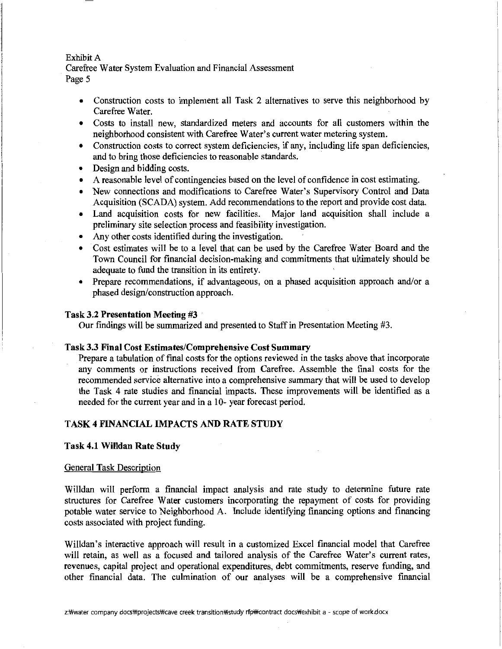# Exhibit A

Carefree Water System Evaluation and Financial Assessment Page 5

- Construction costs to implement all Task 2 alternatives to serve this neighborhood by Carefree Water.
- Costs to install new, standardized meters and accounts for all customers within the neighborhood consistent with Carefree Water's current water metering system.
- Construction costs to correct system deficiencies, if any, including life span deficiencies, and to bring those deficiencies to reasonable standards.
- Design and bidding costs.
- A reasonable level of contingencies based on the level of confidence in cost estimating.
- New connections and modifications to Carefree Water's Supervisory Control and Data Acquisition (SCADA) system. Add recommendations to the report and provide cost data.
- Land acquisition costs for new facilities. Major land acquisition shall include a preliminary site selection process and feasibility investigation.
- Any other costs identified during the investigation.
- Cost estimates will be to a level that can be used by the Carefree Water Board and the Town Council for financial decision-making and commitments that ultimately should be adequate to fund the transition in its entirety.
- Prepare recommendations, if advantageous, on a phased acquisition approach and/or a phased design/construction approach.

## Task 3.2 Presentation Meeting #3

Our findings will be summarized and presented to Staff in Presentation Meeting #3.

# Task 3.3 Final Cost Estimates/Comprehensive Cost Summary

Prepare a tabulation of final costs for the options reviewed in the tasks above that incorporate any comments or instructions received from Carefree. Assemble the fmal costs for the recommended service alternative into a comprehensive summary that will be used to develop the Task 4 rate studies and financial impacts. These improvements will be identified as a needed for the current year and in a 10- year forecast period.

# TASK 4 FINANCIAL IMPACTS AND RATE STUDY

# Task 4.1 Willdan Rate Study

#### General Task Description

Willdan will perform a financial impact analysis and rate study to determine future rate structures for Carefree Water customers incorporating the repayment of costs for providing potable water service to Neighborhood A. Include identifying financing options and financing costs associated with project funding.

Willdan's interactive approach will result in a customized Excel financial model that Carefree will retain, as well as a focused and tailored analysis of the Carefree Water's current rates, revenues, capital project and operational expenditures, debt commitments, reserve funding, and other financial data. The culmination of our analyses will be a comprehensive financial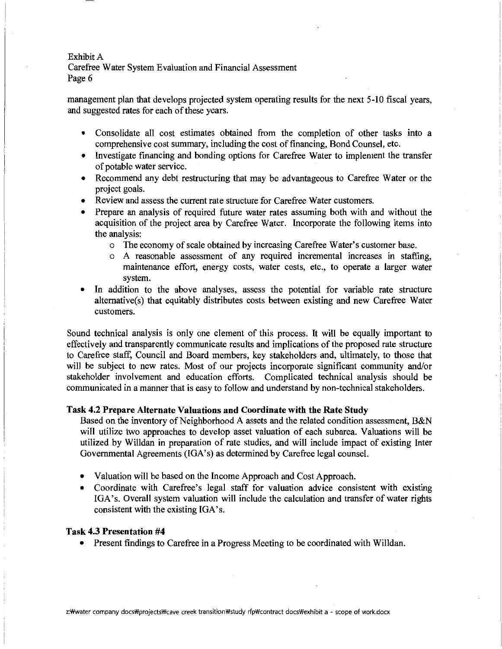management plan that develops projected system operating results for the next 5-10 fiscal years, and suggested rates for each of these years.

- Consolidate all cost estimates obtained from the completion of other tasks into a comprehensive cost summary, including the cost of financing, Bond Counsel, etc.
- Investigate financing and bonding options for Carefree Water to implement the transfer of potable water service.
- Recommend any debt restructuring that may be advantageous to Carefree Water or the project goals.
- Review and assess the current rate structure for Carefree Water customers.
- Prepare an analysis of required future water rates assuming both with and without the acquisition of the project area by Carefree Water. Incorporate the following items into the analysis:
	- o The economy of scale obtained by increasing Carefree Water's customer base.
	- o A reasonable assessment of any required incremental increases in staffing, maintenance effort, energy costs, water costs, etc., to operate a larger water system.
- In addition to the above analyses, assess the potential for variable rate structure altemative(s) that equitably distributes costs between existing and new Carefree Water customers.

Sound technical analysis is only one element of this process. It will be equally important to effectively and transparently communicate results and implications of the proposed rate structure to Carefree staff, Council and Board members, key stakeholders and, ultimately, to those that will be subject to new rates. Most of our projects incorporate significant community and/or stakeholder involvement and education efforts. Complicated technical analysis should be communicated in a manner that is easy to follow and understand by non-technical stakeholders.

# **Task 4.2 Prepare Alternate Valuations and Coordinate with the Rate Study**

Based on the inventory of Neighborhood A assets and the related condition assessment, B&N will utilize two approaches to develop asset valuation of each subarea. Valuations will be utilized by Willdan in preparation of rate studies, and will include impact of existing Inter Governmental Agreements (IGA's) as determined by Carefree legal counsel.

- Valuation will be based on the Income Approach and Cost Approach.
- Coordinate with Carefree's legal staff for valuation advice consistent with existing IGA's. Overall system valuation will include the calculation and transfer of water rights consistent with the existing IGA's.

# **Task 4.3 Presentation #4**

• Present findings to Carefree in a Progress Meeting to be coordinated with Willdan.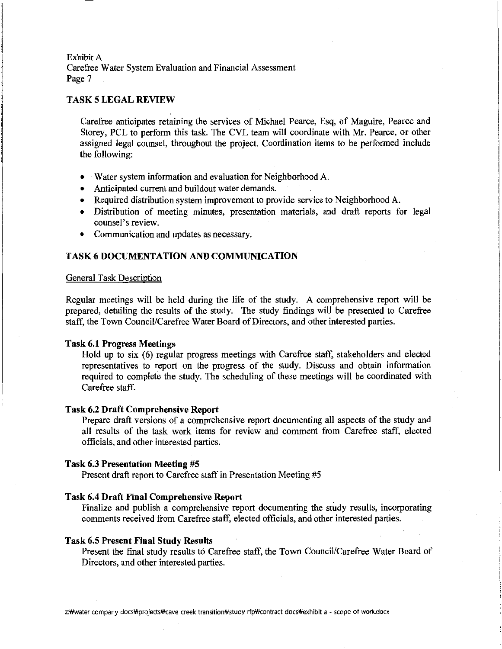# **TASK 5 LEGAL REVIEW**

Carefree anticipates retaining the services of Michael Pearce, Esq, of Maguire, Pearce and Storey, PCL to perform this task. The CVL team will coordinate with Mr. Pearce, or other assigned legal counsel, throughout the project. Coordination items to be performed include the following:

- Water system information and evaluation for Neighborhood A.
- Anticipated current and buildout water demands.
- Required distribution system improvement to provide service to Neighborhood A.
- Distribution of meeting minutes, presentation materials, and draft reports for legal counsel's review.
- Communication and updates as necessary.

# **TASK 6 DOCUMENTATION AND COMMUNICATION**

#### General Task Description

Regular meetings will be held during the life of the study. A comprehensive report will be prepared, detailing the results of the study. The study findings will be presented to Carefree staff, the Town Council/Carefree Water Board of Directors, and other interested parties.

# **Task 6.1 Progress Meetings**

Hold up to six (6) regular progress meetings with Carefree staff, stakeholders and elected representatives to report on the progress of the study. Discuss and obtain information required to complete the study. The scheduling of these meetings will be coordinated with Carefree staff.

#### **Task 6.2 Draft Comprehensive Report**

Prepare draft versions of a comprehensive report documenting all aspects of the study and all results of the task work items for review and comment from Carefree staff, elected officials, and other interested parties.

# **Task 6.3 Presentation Meeting #5**

Present draft report to Carefree staff in Presentation Meeting #5

# **Task 6.4 Draft Final Comprehensive Report**

Finalize and publish a comprehensive report documenting the study results, incorporating comments received from Carefree staff, elected officials, and other interested parties.

# **Task 6.5 Present Final Study Results**

Present the final study results to Carefree staff, the Town Council/Carefree Water Board of Directors, and other interested parties.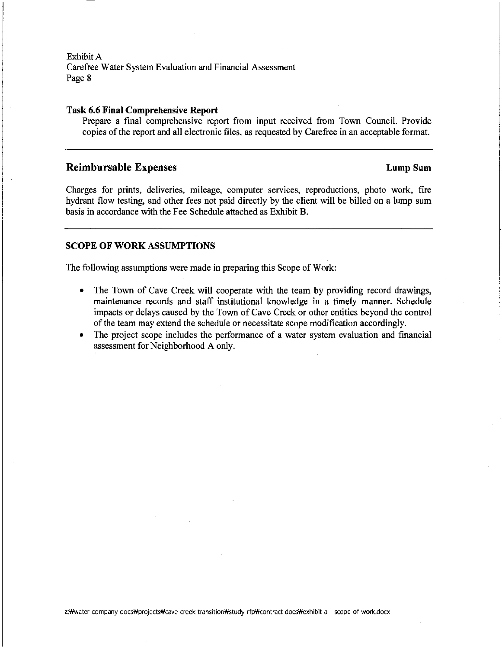# **Task 6.6 Final Comprehensive Report**

Prepare a final comprehensive report from input received from Town Council. Provide copies of the report and all electronic files, as requested by Carefree in an acceptable format.

# **Reimbursable Expenses** Lump Sum

Charges for prints, deliveries, mileage, computer services, reproductions, photo work, fire hydrant flow testing, and other fees not paid directly by the client will be billed on a lump sum basis in accordance with the Fee Schedule attached as Exhibit B.

# **SCOPE OF WORK ASSUMPTIONS**

The following assumptions were made in preparing this Scope of Work:

- The Town of Cave Creek will cooperate with the team by providing record drawings, maintenance records and staff institutional knowledge in a timely manner. Schedule impacts or delays caused by the Town of Cave Creek or other entities beyond the control of the team may extend the schedule or necessitate scope modification accordingly.
- The project scope includes the performance of a water system evaluation and financial assessment for Neighborhood A only.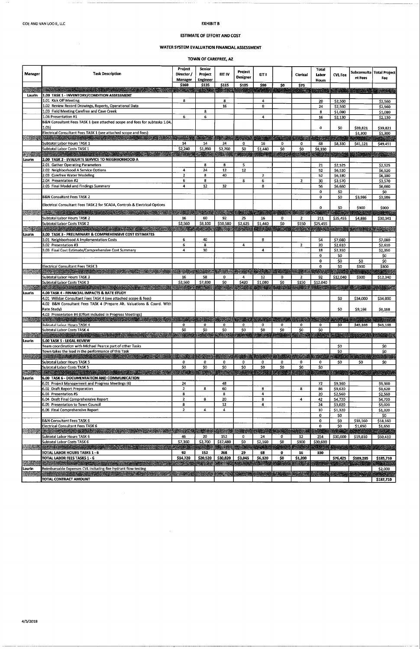$\sim$   $\sim$ 

# **EXHIBIT B**

# **ESTIMATE OF EFFORT AND COST**

# WATER SYSTEM EVALUATION FINANCIAL ASSESSMENT

# TOWN OF CAREFREE, AZ

| <b>Manager</b> | <b>Task Description</b>                                                                                                                   | Project<br>Director /<br>Manager | Senior<br>Project<br><b>Engineer</b>                                                                       | EIT IV                  | Project<br><b>Designer</b>                                       | EIT I           |              | Clerical       | Total<br>Labor<br>Hours | <b>CVL Fee</b>     | nt Fees        | Subconsulta   Total Project<br>Fee |
|----------------|-------------------------------------------------------------------------------------------------------------------------------------------|----------------------------------|------------------------------------------------------------------------------------------------------------|-------------------------|------------------------------------------------------------------|-----------------|--------------|----------------|-------------------------|--------------------|----------------|------------------------------------|
|                |                                                                                                                                           | \$160                            | \$135<br><b>All Color</b>                                                                                  | 5115                    | \$105                                                            | \$90            | \$0<br>53253 | \$75           |                         |                    |                | <b>TENDENCENT</b>                  |
| Laurin         | 1.00 TASK 1 - INVENTORY/CONDITION ASSESSMENT                                                                                              |                                  |                                                                                                            |                         |                                                                  |                 |              |                |                         |                    |                |                                    |
|                | 1.01 Kick Off Meeting                                                                                                                     | 8                                |                                                                                                            | 8                       |                                                                  | 4               |              |                | 20                      | \$2,560            |                | \$2,560                            |
|                | 1.02 Review Record Drawings, Reports, Operational Data                                                                                    |                                  |                                                                                                            | 16                      |                                                                  | 8               |              |                | 24                      | \$2,560            |                | \$2,560                            |
|                | 1.03 Field Meeting Carefree and Cave Creek<br>1.06 Presentation #1                                                                        |                                  | 8                                                                                                          |                         |                                                                  |                 |              |                | 8                       | \$1,080            |                | \$1,080                            |
|                | B&N Consultant Fees TASK 1 (see attached scope and fees for subtasks 1.04,                                                                | 6                                | 6                                                                                                          |                         |                                                                  | 4               |              |                | 16                      | \$2,130            |                | \$2,130                            |
|                | 1.05)                                                                                                                                     |                                  |                                                                                                            |                         |                                                                  |                 |              |                | 0                       | \$0                | \$39,821       | \$39,821                           |
|                | Electrical Consultant Fees TASK 1 (see attached scope and fees)                                                                           |                                  |                                                                                                            |                         |                                                                  |                 |              |                |                         |                    | \$1,300        | \$1,300                            |
|                |                                                                                                                                           |                                  |                                                                                                            | <b>ASSIMAL</b>          | $\mathcal{L}^{\text{max}}$                                       |                 |              |                |                         |                    |                |                                    |
|                | Subtotal Labor Hours TASK 1                                                                                                               | 14                               | 14                                                                                                         | 24                      | 0                                                                | 16              | 0            | 0              | 68                      | \$8,330            | \$41,121       | \$49,451                           |
|                | Subtotal Labor Costs TASK 1                                                                                                               | \$2,240                          | \$1,890                                                                                                    | \$2,760                 | \$0                                                              | \$1,440         | \$0          | \$0            | \$8,330                 |                    |                |                                    |
| Laurin         | SAR SAN SARA SA KABUPATÈN SA SA SA SA SA SA<br>2.00 TASK 2 - EVALUATE SERVICE TO NEIGHBORHOOD A                                           |                                  |                                                                                                            |                         |                                                                  |                 |              |                |                         |                    |                |                                    |
|                | 2.01 Gather Operating Parameters                                                                                                          |                                  | 8                                                                                                          | 8                       | 5                                                                |                 |              |                | 21                      | \$2,525            |                | \$2,525                            |
|                | 2.02 Neighborhood A Service Options                                                                                                       | 4                                | 24                                                                                                         | 12                      | 12                                                               |                 |              |                | 52                      | \$6,520            |                | \$6,520                            |
|                | 2.03 Carefree Water Modeling                                                                                                              | $\overline{2}$                   | 8                                                                                                          | 40                      |                                                                  | $\overline{2}$  |              |                | 52                      | \$6,180            |                | \$6,180                            |
|                | 2.04 Presentation #2                                                                                                                      | 6                                | 8                                                                                                          |                         | 8                                                                | 6               |              | 2              | 30                      | \$3,570            |                | \$3,570                            |
|                | 2.05 Final Model and Findings Summary                                                                                                     | 4                                | 12                                                                                                         | 32                      |                                                                  | 8               |              |                | 56<br>0                 | \$6,660<br>\$0     |                | \$6,660<br>\$0                     |
|                | <b>B&amp;N Consultant Fees TASK 2</b>                                                                                                     |                                  |                                                                                                            |                         |                                                                  |                 |              |                | 0                       | \$0                | \$3,986        | \$3,986                            |
|                |                                                                                                                                           |                                  |                                                                                                            |                         |                                                                  |                 |              |                |                         |                    |                |                                    |
|                | Electrical Consultant Fees TASK 2 for SCADA, Controls & Electrical Options                                                                |                                  |                                                                                                            |                         |                                                                  |                 |              |                | 0                       | 50                 | 5900           | <b>S900</b>                        |
|                | <u> Maria Alexandria (m. 1888)</u>                                                                                                        |                                  |                                                                                                            | <b>SACRA</b>            |                                                                  |                 |              |                |                         |                    |                |                                    |
|                | Subtotal Labor Hours TASK 2                                                                                                               | 16                               | 60                                                                                                         | 92                      | 25                                                               | 16              | 0            | 2              | 211                     | \$25,455           | 54,886         | \$30,341                           |
|                | Subtotal Labor Costs TASK 2<br>a papakan kacamatan ing kabupatèn Kabupatèn Ing                                                            | \$2,560                          | \$8,100                                                                                                    | \$10,580                | \$2,625                                                          | \$1,440<br>2019 | \$0          | \$150          | \$25,455                | <b>All College</b> |                | <b>Seattle Avenue</b>              |
| Laurin         | 3.00 TASK 3 - PRELIMINARY & COMPREHENSIVE COST ESTIMATES                                                                                  |                                  |                                                                                                            |                         |                                                                  |                 |              |                |                         |                    |                |                                    |
|                | 3.01 Neighborhood A Implementation Costs                                                                                                  | 6                                | 40                                                                                                         |                         |                                                                  | 8               |              |                | 54                      | \$7,080            |                | \$7,080                            |
|                | 3.02 Presentation #3                                                                                                                      | 6                                | 8                                                                                                          |                         | 4                                                                |                 |              | $\overline{2}$ | 20                      | \$2,610            |                | \$2,610                            |
|                | 3.03 Final Cost Estimate/Comprehensive Cost Summary                                                                                       | 4                                | 10                                                                                                         |                         |                                                                  | 4               |              |                | 18                      | \$2,350            |                | \$2,350                            |
|                |                                                                                                                                           |                                  |                                                                                                            |                         |                                                                  |                 |              |                | 0                       | 50                 |                | \$0                                |
|                | <b>Electrical Consultant Fees TASK 3</b>                                                                                                  |                                  |                                                                                                            |                         |                                                                  |                 |              |                | 0<br>0                  | 50<br>\$0          | \$0<br>\$300   | \$0<br>\$300                       |
|                |                                                                                                                                           | <b>ANGEL</b>                     |                                                                                                            |                         |                                                                  |                 |              |                |                         |                    |                | 2012-01                            |
|                | Subtotal Labor Hours TASK 3                                                                                                               | 16                               | 58                                                                                                         | 0                       | 4                                                                | 12              | 0            | 2              | 92                      | \$12,040           | \$300          | \$12,340                           |
|                | <b>Subtotal Labor Costs TASK 3</b>                                                                                                        | \$2,560                          | \$7,830                                                                                                    | \$0                     | \$420                                                            | \$1,080         | \$0          | \$150          | \$12,040                |                    |                |                                    |
|                | e de la companyación de la construcción de la construcción de la construcción de la construcción de la construcción                       |                                  |                                                                                                            |                         |                                                                  |                 |              |                |                         | <b>DESCRIPTION</b> | <b>RAMARIA</b> | <b>IRANG PARTIES</b>               |
| Laurin         | 4.00 TASK 4 - FINANCIAL IMPACTS & RATE STUDY                                                                                              |                                  |                                                                                                            |                         |                                                                  |                 |              |                |                         |                    |                |                                    |
|                | 4.01 Willdan Consultant Fees TASK 4 (see attached scope & fees)<br>4.02 B&N Consultant Fees TASK 4 (Prepare Alt. Valuations & Coord. With |                                  |                                                                                                            |                         |                                                                  |                 |              |                |                         | \$O                | \$34,000       | \$34,000                           |
|                | Rate Study)                                                                                                                               |                                  |                                                                                                            |                         |                                                                  |                 |              |                |                         | \$0                | \$9,168        | \$9,168                            |
|                | 4.03 Presentation #4 (Effort included in Progress Meetings)                                                                               |                                  |                                                                                                            |                         |                                                                  |                 |              |                |                         |                    |                |                                    |
|                |                                                                                                                                           |                                  |                                                                                                            |                         |                                                                  |                 |              |                |                         |                    |                |                                    |
|                | Subtotal Labor Hours TASK 4                                                                                                               | 0                                | 0                                                                                                          | 0                       | 0                                                                | 0               | 0            | 0              | 0                       | \$0                | \$43,168       | \$43,168                           |
|                | Subtotal Labor Costs TASK 4<br>an Bandaría a tha an Sua                                                                                   | \$0                              | \$0<br><b>Barbara and The Party</b>                                                                        | \$0<br><b>SAME OF A</b> | \$0<br><b>All County</b>                                         | \$0             | SO           | 50             | S <sub>0</sub>          |                    |                | SA GA                              |
| Laurin         | 5.00 TASK 5 - LEGAL REVIEW                                                                                                                |                                  |                                                                                                            |                         |                                                                  |                 |              |                |                         |                    |                |                                    |
|                | Team coordination with Michael Pearce part of other Tasks                                                                                 |                                  |                                                                                                            |                         |                                                                  |                 |              |                |                         | \$0                |                | \$0                                |
|                | Town takes the lead in the performance of this Task                                                                                       |                                  |                                                                                                            |                         |                                                                  |                 |              |                |                         | 50                 |                | \$0                                |
|                |                                                                                                                                           |                                  |                                                                                                            |                         |                                                                  |                 |              |                |                         |                    |                |                                    |
|                | Subtotal Labor Hours TASK 5                                                                                                               | 0<br>50                          | 0<br>50                                                                                                    | 0<br>\$0                | 0<br>$\overline{\boldsymbol{\mathsf{s}}\boldsymbol{\mathsf{o}}}$ | 0<br>\$0        | 0<br>\$0     | 0<br>\$0       | 0<br>\$0                | \$0                | \$0            | \$0                                |
|                | Subtotal Labor Costs TASK 5                                                                                                               |                                  |                                                                                                            |                         |                                                                  |                 | MEZHE        |                |                         |                    |                |                                    |
| Laurin         | 6.00 TASK 6 - DOCUMENTATION AND COMMUNICATION                                                                                             |                                  |                                                                                                            |                         |                                                                  |                 |              |                |                         |                    |                |                                    |
|                | 6.01 Project Management and Progress Meetings (6)                                                                                         | 24                               |                                                                                                            | 48                      |                                                                  |                 |              |                | 72                      | \$9,360            |                | \$9,360                            |
|                | 6.02 Draft Report Preparation                                                                                                             | $\mathbf{2}$                     | 8                                                                                                          | 60                      |                                                                  | 8               |              | 8              | 86                      | \$9,620            |                | \$9,620                            |
|                | 6.03 Presentation #5                                                                                                                      | 8                                |                                                                                                            | 8                       |                                                                  | 4               |              |                | 20                      | \$2,560            |                | \$2,560                            |
|                | 6.04 Draft Final Comprehensive Report<br>6.05 Presentation to Town Council                                                                | $\overline{2}$<br>8              | 8                                                                                                          | 20<br>12                |                                                                  | 8<br>4          |              | 4              | 42<br>24                | \$4,720<br>\$3,020 |                | \$4,720<br>\$3,020                 |
|                | 6.06 Final Comprehensive Report                                                                                                           | $\overline{2}$                   | 4                                                                                                          | 4                       |                                                                  |                 |              |                | 10                      | \$1,320            |                | \$1,320                            |
|                |                                                                                                                                           |                                  |                                                                                                            |                         |                                                                  |                 |              |                | 0                       | 50                 |                | \$0                                |
|                | <b>B&amp;N Consultant Fees TASK 6</b>                                                                                                     |                                  |                                                                                                            |                         |                                                                  |                 |              |                | 0                       | \$0                | \$18,160       | \$18,160                           |
|                | Electrical Consultant Fees TASK 6                                                                                                         |                                  |                                                                                                            |                         |                                                                  |                 |              |                | 0                       | SO.                | \$1,650        | \$1,650                            |
|                |                                                                                                                                           |                                  |                                                                                                            | <b>ACOMES</b>           |                                                                  |                 |              |                |                         |                    |                |                                    |
|                | Subtotal Labor Hours TASK 6<br>Subtotal Labor Costs TASK 6                                                                                | 46<br>\$7,360                    | 20<br>\$2,700                                                                                              | 152<br>\$17,480         | 0<br>\$0                                                         | 24<br>\$2,160   | 0<br>\$0     | 12<br>\$900    | 254<br>\$30,600         | \$30,600           | \$19,810       | \$50,410                           |
|                |                                                                                                                                           |                                  |                                                                                                            | <b>The College</b>      |                                                                  |                 |              |                |                         |                    |                | <b>Committee</b>                   |
|                | TOTAL LABOR HOURS TASKS 1 - 6                                                                                                             | 92                               | 152                                                                                                        | 268                     | 29                                                               | 68              | 0            | 16             | 330                     |                    |                |                                    |
|                | TOTAL LABOR FEES TASKS 1 - 6                                                                                                              | \$14,720                         | \$20,520                                                                                                   | \$30,820                | \$3,045                                                          | \$6,120         | \$0          | \$1,200        |                         | \$76,425           | \$109,285      | \$185,710                          |
|                |                                                                                                                                           |                                  |                                                                                                            |                         |                                                                  |                 |              |                |                         |                    |                |                                    |
| Laurin         | Reimbursable Expenses CVL including fire hydrant flow testing                                                                             | <b>READERS</b>                   | <b>ASSESSMENT REPORT OF A STATE OF A STATE OF A STATE OF A STATE OF A STATE OF A STATE OF A STATE OF A</b> |                         |                                                                  |                 |              |                |                         |                    |                | \$2,000                            |
|                | TOTAL CONTRACT AMOUNT                                                                                                                     |                                  |                                                                                                            |                         |                                                                  |                 |              |                |                         |                    |                | \$187,710                          |
|                |                                                                                                                                           |                                  |                                                                                                            |                         |                                                                  |                 |              |                |                         |                    |                |                                    |

| <b>AMOUN</b><br><b>ITOTAL</b><br>CONTRACT A |  |  |  |  |  |  |  |  |  |  | 5187.710 |
|---------------------------------------------|--|--|--|--|--|--|--|--|--|--|----------|
|---------------------------------------------|--|--|--|--|--|--|--|--|--|--|----------|

 $\mathcal{A}^{\pm}$ 

 $\sim$   $\sim$ 

4/5/2018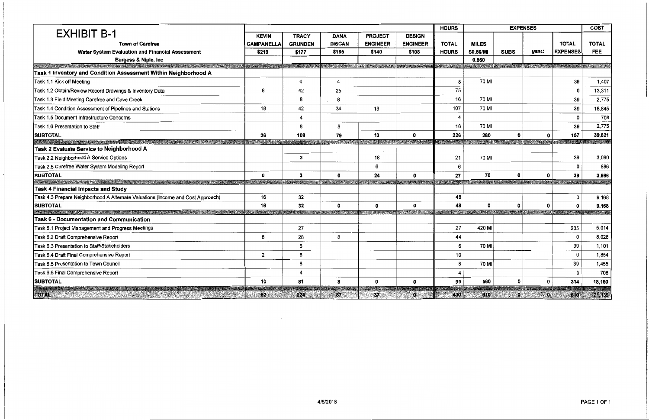|                                                                                                                                                                                                                                 |                                  |                |                |                                                                                     |                                                                                                                                                                                                                                | <b>HOURS</b>  |                                                                                                                                      | COST                    |              |                                        |              |
|---------------------------------------------------------------------------------------------------------------------------------------------------------------------------------------------------------------------------------|----------------------------------|----------------|----------------|-------------------------------------------------------------------------------------|--------------------------------------------------------------------------------------------------------------------------------------------------------------------------------------------------------------------------------|---------------|--------------------------------------------------------------------------------------------------------------------------------------|-------------------------|--------------|----------------------------------------|--------------|
| <b>EXHIBIT B-1</b>                                                                                                                                                                                                              | <b>KEVIN</b>                     | <b>TRACY</b>   | <b>DANA</b>    | <b>PROJECT</b>                                                                      | <b>DESIGN</b>                                                                                                                                                                                                                  |               |                                                                                                                                      |                         |              |                                        |              |
| <b>Town of Carefree</b>                                                                                                                                                                                                         | <b>CAMPANELLA</b>                | <b>GRUNDEN</b> | <b>BISCAN</b>  | <b>ENGINEER</b>                                                                     | <b>ENGINEER</b>                                                                                                                                                                                                                | <b>TOTAL</b>  | <b>MILES</b>                                                                                                                         |                         |              | <b>TOTAL</b>                           | <b>TOTAL</b> |
| Water System Evaluation and Financial Assessment                                                                                                                                                                                | \$219                            | \$177          | \$165          | \$140                                                                               | \$108                                                                                                                                                                                                                          | <b>HOURS</b>  | \$0.56/MI                                                                                                                            | <b>SUBS</b>             | <b>MISC</b>  | <b>EXPENSES</b>                        | <b>FEE</b>   |
| Burgess & Niple, Inc.                                                                                                                                                                                                           |                                  |                |                |                                                                                     |                                                                                                                                                                                                                                |               | 0.560                                                                                                                                |                         |              |                                        |              |
| ,我们也不能在这里,我们也不能会在这里,我们也不能会在这里,我们也不能会在这里,我们也不能会在这里,我们也不能会在这里,我们也不能会在这里,我们也不能会在这里,<br>第2012章 我们的人们,我们的人们就会在这里,我们的人们的人们,我们的人们就会在这里,我们的人们的人们,我们也不能会在这里,我们的人们就会不能会在这里,我们的                                                            |                                  |                |                |                                                                                     | a state of the state of the state of the state of the state of the state of the state of the state of the state of the state of the state of the state of the state of the state of the state of the state of the state of the |               |                                                                                                                                      |                         |              |                                        |              |
| Task 1 Inventory and Condition Assessment Within Neighborhood A                                                                                                                                                                 |                                  |                |                |                                                                                     |                                                                                                                                                                                                                                |               |                                                                                                                                      |                         |              |                                        |              |
| Task 1.1 Kick off Meeting                                                                                                                                                                                                       |                                  | 4              | $\overline{4}$ |                                                                                     |                                                                                                                                                                                                                                | 8             | 70 MI                                                                                                                                |                         |              | 39                                     | 1,407        |
| Task 1.2 Obtain/Review Record Drawings & Inventory Data                                                                                                                                                                         | 8                                | 42             | 25             |                                                                                     |                                                                                                                                                                                                                                | 75            |                                                                                                                                      |                         |              | 0                                      | 13,311       |
| Task 1.3 Field Meeting Carefree and Cave Creek                                                                                                                                                                                  |                                  | 8              | 8              |                                                                                     |                                                                                                                                                                                                                                | 16            | 70 MI                                                                                                                                |                         |              | 39                                     | 2,775        |
| Task 1.4 Condition Assessment of Pipelines and Stations                                                                                                                                                                         | 18                               | 42             | 34             | 13                                                                                  |                                                                                                                                                                                                                                | 107           | 70 MI                                                                                                                                |                         |              | 39                                     | 18,845       |
| Task 1.5 Document Infrastructure Concerns                                                                                                                                                                                       |                                  | 4              |                |                                                                                     |                                                                                                                                                                                                                                | 4             |                                                                                                                                      |                         |              | 0                                      | 708          |
| Task 1.6 Presentation to Staff                                                                                                                                                                                                  |                                  | 8              | 8              |                                                                                     |                                                                                                                                                                                                                                | 16            | 70 MI                                                                                                                                |                         |              | 39                                     | 2,775        |
| <b>SUBTOTAL</b>                                                                                                                                                                                                                 | 26                               | 108            | 79             | 13                                                                                  | 0                                                                                                                                                                                                                              | 226           | 280                                                                                                                                  | O                       | U            | 157                                    | 39,821       |
| n de la propieta de la propieta de la propieta de la propieta de la propieta de la propieta de la propieta de<br>La propieta de la propieta de la propieta de la propieta de la propieta de la propieta de la propieta de la pr |                                  |                |                |                                                                                     |                                                                                                                                                                                                                                | AND RESIDENCE |                                                                                                                                      | <b>TANK THE COMPANY</b> |              | <b>CONTRACTOR</b> CONTRACTOR CONTRACTO | 1999         |
| Task 2 Evaluate Service to Neighborhood A                                                                                                                                                                                       |                                  |                |                |                                                                                     |                                                                                                                                                                                                                                |               |                                                                                                                                      |                         |              |                                        |              |
| Task 2.2 Neighborhood A Service Options                                                                                                                                                                                         |                                  | 3              |                | 18                                                                                  |                                                                                                                                                                                                                                | 21            | 70 MI                                                                                                                                |                         |              | 39                                     | 3,090        |
| Task 2.5 Carefree Water System Modeling Report                                                                                                                                                                                  |                                  |                |                | 6                                                                                   |                                                                                                                                                                                                                                | 6             |                                                                                                                                      |                         |              | 0                                      | 896          |
| <b>SUBTOTAL</b>                                                                                                                                                                                                                 | $\mathbf{0}$                     | 3              | U              | 24                                                                                  | O                                                                                                                                                                                                                              | 27            | 70                                                                                                                                   | 0                       | 0            | 39                                     | 3,986        |
| a series and the series of the series of the series of the series of the series of the series of the series of                                                                                                                  | <b>REAL PROPERTY AND INCOME.</b> |                |                | A THE REAL PROPERTY OF THE REAL PROPERTY OF THE REAL PROPERTY OF THE REAL PROPERTY. |                                                                                                                                                                                                                                |               | A START START A START OF THE START OF THE START OF THE START OF THE START OF THE START OF THE START OF THE STA                       |                         |              |                                        |              |
| Task 4 Financial Impacts and Study                                                                                                                                                                                              |                                  |                |                |                                                                                     |                                                                                                                                                                                                                                |               |                                                                                                                                      |                         |              |                                        |              |
| Task 4.3 Prepare Neighborhood A Alternate Valuations (Income and Cost Approach)                                                                                                                                                 | 16                               | 32             |                |                                                                                     |                                                                                                                                                                                                                                | 48            |                                                                                                                                      |                         |              | 0                                      | 9,168        |
| <b>SUBTOTAL</b>                                                                                                                                                                                                                 | 16                               | 32             | 0              | 0                                                                                   | 0                                                                                                                                                                                                                              | 48            | $\mathbf{0}$<br><b>Executive Construction of the Construction of the Construction of the Construction of the Construction of the</b> | $\Omega$                | 0            | 0                                      | 9,168        |
| Task 6 - Documentation and Communication                                                                                                                                                                                        |                                  |                |                |                                                                                     |                                                                                                                                                                                                                                |               |                                                                                                                                      |                         |              | 经燃费                                    | 2000 2000    |
|                                                                                                                                                                                                                                 |                                  |                |                |                                                                                     |                                                                                                                                                                                                                                | 27            | 420 MI                                                                                                                               |                         |              | 235                                    | 5,014        |
| Task 6.1 Project Management and Progress Meetings                                                                                                                                                                               |                                  | 27             |                |                                                                                     |                                                                                                                                                                                                                                |               |                                                                                                                                      |                         |              |                                        |              |
| Task 6.2 Draft Comprehensive Report                                                                                                                                                                                             | 8                                | 28             | 8              |                                                                                     |                                                                                                                                                                                                                                | 44            |                                                                                                                                      |                         |              | 0                                      | 8,028        |
| Task 6.3 Presentation to Staff/Stakeholders                                                                                                                                                                                     |                                  | 6              |                |                                                                                     |                                                                                                                                                                                                                                | 6             | 70 MI                                                                                                                                |                         |              | 39                                     | 1,101        |
| Task 6.4 Draft Final Comprehensive Report                                                                                                                                                                                       | $\overline{2}$                   | 8              |                |                                                                                     |                                                                                                                                                                                                                                | 10            |                                                                                                                                      |                         |              | $\mathbf 0$                            | 1,854        |
| Task 6.5 Presentation to Town Council                                                                                                                                                                                           |                                  | 8              |                |                                                                                     |                                                                                                                                                                                                                                | 8             | 70 MI                                                                                                                                |                         |              | 39                                     | 1,455        |
| Task 6.6 Final Comprehensive Report                                                                                                                                                                                             |                                  | 4              |                |                                                                                     |                                                                                                                                                                                                                                | 4             |                                                                                                                                      |                         |              | $\mathbf 0$                            | 708          |
| <b>SUBTOTAL</b>                                                                                                                                                                                                                 | 10                               | 81             | 8              | 0                                                                                   | 0                                                                                                                                                                                                                              | 99            | 560                                                                                                                                  | $\mathbf o$             | $\mathbf 0$  | 314                                    | 18,160       |
| TOTAL                                                                                                                                                                                                                           | 152                              | 267.           | 674            | $\overline{\mathrm{St}}$                                                            | .0k                                                                                                                                                                                                                            | 2001          | 910 <sub>1</sub>                                                                                                                     | 02                      | $\mathbf{0}$ | 500                                    | <b>74MB5</b> |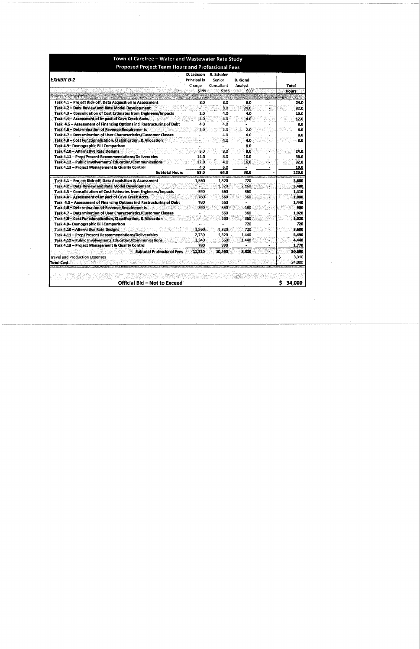| <b>EXHIBIT B-2</b>                                                    | D. Jackson<br>Principal in<br>Charge | R. Schafer<br><b>Senior</b><br>Consultant | D. Goral<br>Analyst | Total        |
|-----------------------------------------------------------------------|--------------------------------------|-------------------------------------------|---------------------|--------------|
|                                                                       | \$195                                | 5165                                      | \$90.               | <b>Hours</b> |
| <b>ចៅពីដល់នៃរីឯលោធន៍នេះ</b>                                           |                                      |                                           |                     |              |
| Task 4.1 - Project Kick-off, Data Acquisition & Assessment            | 8.0                                  | 8.0                                       | 8.0                 | 24.0         |
| Task 4.2 - Data Review and Rate Model Development                     |                                      | 8.0                                       | 24.0                | 32.0         |
| Task 4.3 - Consolidation of Cost Estimates from Engineers/Impacts     | 2.0                                  | 4.0                                       | 4.0                 | 10.0         |
| Task 4.4 - Assessment of Impact of Cave Creek Accts.                  | 4.0                                  | 4.0                                       | 4.0.                | 12.0         |
| Task 4.5 - Assessment of Financing Options incl Restructuring of Debt | 4.0                                  | 4.0                                       |                     | 8.0          |
| Task 4.6 - Determination of Revenue Requirements                      | 2.0                                  | 2.0                                       | 2.0                 | 6.0          |
| Task 4.7 - Determination of User Characteristics/Customer Classes     |                                      | 4.0                                       | 4.0                 | 8.0          |
| Task 4.8 - Cost Functionalization, Classification, & Allocation       |                                      | 4.0                                       | 4.0                 | 8.0          |
| Task 4.9- Demographic Bill Comparison                                 |                                      |                                           | 8.0                 |              |
| Task 4.10 - Alternative Rate Designs                                  | 8.0                                  | 8.0                                       | 8.0                 | 24.0         |
| Task 4.11 - Prep/Present Recommendations/Deliverables                 | 14.0                                 | 8.0                                       | 16.0                | 38.0         |
| Task 4.12 – Public Involvement/ Education/Communications              | 12.0                                 | 4.0                                       | 16.0                | 32.0         |
| Task 4.13 - Project Management & Quality Control                      | 4.0                                  | 6.0                                       |                     | 10.0         |
| <b>Subtotal Hours</b>                                                 | 58.0                                 | 64.0                                      | 98.0                | 220.0        |
| Task 4.1 - Project Kick-off, Data Acquisition & Assessment            | 1,560                                | 1.320                                     | 720                 | 3,600        |
| Task 4.2 - Data Review and Rate Model Development                     |                                      | 1,320.                                    | 2.160               | 3,480        |
| Task 4.3 - Consolidation of Cost Estimates from Engineers/Impacts     | 390                                  | 660                                       | 360                 | 1,410        |
| Task 4.4 - Assessment of Impact of Cave Creek Accts.                  | 780                                  | 660                                       | 360                 | 1,800        |
| Task 4.5 - Assessment of Financing Options incl Restructuring of Debt | 780                                  | 660                                       |                     | 1,440        |
| Task 4.6 - Determination of Revenue Requirements                      | 390.                                 | 330                                       | 180                 | 900          |
| Task 4.7 - Determination of User Characteristics/Customer Classes     |                                      | 660                                       | 360                 | 1,020        |
| Task 4.8 - Cost Functionalization, Classification, & Allocation       |                                      | 660                                       | 360                 | 1.020        |
| Task 4.9- Demographic Bill Comparison                                 |                                      |                                           | 720                 | 720          |
| <b>Task 4.10 - Alternative Rate Designs</b>                           | 1560                                 | 1,320                                     | 720                 | 3,600        |
| Task 4.11 - Prep/Present Recommendations/Deliverables                 | 2.730                                | 1,320                                     | 1,440               | 5,490        |
| Task 4.12 - Public Involvement/ Education/Communications              | 2,340                                | 660                                       | 1,440               | 4,440        |
| Task 4.13 - Project Management & Quality Control                      | 780                                  | 990                                       |                     | 1,770        |
| <b>Subtotal Professional Fees</b>                                     | 11 310                               | 10.560                                    | 8,820               | 30,690       |
| <b>Travel and Production Expenses</b>                                 |                                      |                                           |                     | \$<br>3,310  |
| <b>Total Cost</b>                                                     |                                      |                                           |                     | 34,000       |

 $\sim$   $\epsilon$ 

 $\mathcal{L}^{\pm}$ 

 $\mathcal{L}^{\text{max}}_{\text{max}}$  and  $\mathcal{L}^{\text{max}}_{\text{max}}$ 

 $\mathcal{L}^{\text{max}}_{\text{max}}$ 

 $\sim 30$ 

 $\mathcal{O}(\mathcal{A}^{\mathcal{A}})$  .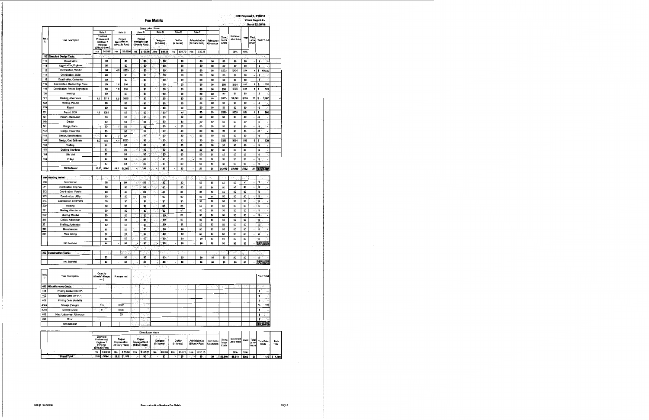|                 |                                 |      |                                                                                                                                                                   |      |                                                       |      |                                                                            | Fee Matrix       |                                  |     |                                 |       |                                             |                         | giè i<br>$\gamma^*$<br>$\mathcal{L}^{\mathcal{L},\mathcal{I}}_{\mathcal{L}}$ | $\sim$<br>fire pro-    |             |                                | CEE Proposal # - P18013<br>Client Project #<br>March 22, 2018 |               |
|-----------------|---------------------------------|------|-------------------------------------------------------------------------------------------------------------------------------------------------------------------|------|-------------------------------------------------------|------|----------------------------------------------------------------------------|------------------|----------------------------------|-----|---------------------------------|-------|---------------------------------------------|-------------------------|------------------------------------------------------------------------------|------------------------|-------------|--------------------------------|---------------------------------------------------------------|---------------|
| Task<br>ID      | Task Description                |      | Rate A<br>Electrical<br>Professional<br>Engineer /<br>Principal<br>(\$Hourly Rate)                                                                                |      | Rate B<br>Project<br>Engineer/Est.<br>(\$Hourly Rate) |      | Direct Labor Hours<br>Rate C<br>Project<br>Manager/Supt<br>(\$Hourly Rate) |                  | Rate D<br>Designer<br>(in house) |     | Rate E<br>Drafter<br>(in house) |       | Rate F<br>Administrative<br>(\$Hourly Rate) | Reimburse<br>Allowances | Direct<br>Labor<br>Costs                                                     | Burdened<br>Labor Rate | Profit      | Total<br>Labori<br>Hours       | <b>Task Total</b>                                             |               |
|                 |                                 | Hrs  | 64.9351                                                                                                                                                           | Hrs  | 55.6586                                               | Hrs  | \$.55.66                                                                   | Hrs <sup>-</sup> | \$46.38                          | Hrs | \$34.79                         | Hrs   | \$30.15                                     |                         |                                                                              | 96%                    | 10%         |                                |                                                               |               |
| 100             | <b>Electrical Design Tasks:</b> |      |                                                                                                                                                                   |      |                                                       |      |                                                                            |                  |                                  |     |                                 | 32.00 |                                             |                         |                                                                              |                        |             |                                |                                                               |               |
| 110             | Coordination                    |      | 80                                                                                                                                                                |      | 30                                                    |      | SD.                                                                        |                  | 50                               |     | 80                              |       | 80                                          | \$0                     | 80                                                                           | 80                     | \$0         |                                | ั\$<br>×,                                                     |               |
| 111             | Coordination, Engineer          |      | 80                                                                                                                                                                |      | \$0                                                   |      | 30                                                                         |                  | '\$0                             |     | 80                              |       | 80                                          | \$0                     | \$0                                                                          | \$0                    | \$0         |                                | \$                                                            |               |
| 112             | Coordination, Vendor            |      | \$0                                                                                                                                                               | 4.0  | \$223                                                 |      | \$0                                                                        |                  | \$0                              |     | \$0                             |       | \$0                                         | \$0                     | \$223                                                                        | \$436                  | \$44        | 4                              | 480.00<br>\$                                                  |               |
| 113             | Coordination, Utility           |      | 80                                                                                                                                                                |      | \$0                                                   |      | \$0                                                                        |                  | \$0                              |     | \$0                             |       | \$0                                         | \$0                     | \$0                                                                          | \$0                    | SO.         | ٠                              | \$<br>٠                                                       |               |
| 114             | Coordination, Contractor        |      | \$0                                                                                                                                                               |      | \$0                                                   |      | \$0                                                                        |                  | \$0                              |     | \$0                             |       | SO.                                         | SO                      | 50                                                                           | \$0                    | \$0         |                                | s                                                             |               |
| 115             | Coordination, Review Engr Plans |      | \$0                                                                                                                                                               | 1.0  | \$56                                                  |      | 40                                                                         |                  | \$0                              |     | \$0                             |       | \$0                                         | \$0                     | \$56                                                                         | \$109                  | \$11        | 1                              | ٤<br>120<br>s                                                 |               |
| 116<br>120      | Coordination, Review Engr Specs |      | \$0<br>80                                                                                                                                                         | 1.0  | \$56                                                  |      | \$0<br>\$0                                                                 |                  | \$0<br>30                        |     | \$0<br>\$0                      |       | \$0<br>\$0                                  | \$0<br>\$0              | \$56<br>\$0                                                                  | \$109<br>\$0           | \$11<br>\$0 |                                | 120<br>`\$                                                    |               |
| 121             | Meeting<br>Meeting, Attendance  | 8.0  | \$519                                                                                                                                                             | 8.0  | 50<br>\$445                                           |      | \$0                                                                        |                  | \$0                              |     | \$0                             |       | \$0                                         | \$0                     | \$965                                                                        | \$1,891                | \$169       | 16                             | 2,080<br>\$                                                   |               |
| 122             | Meeting, Minutes                |      | \$0                                                                                                                                                               |      | \$0                                                   |      | 50                                                                         |                  | \$0                              |     | SŪ                              |       | \$0                                         | \$0                     | \$0                                                                          | \$0                    | \$0         |                                | s                                                             |               |
| 130             | Report                          |      | \$0                                                                                                                                                               |      | \$0                                                   |      | \$0                                                                        |                  | \$0                              |     | \$0                             |       | \$0                                         | 50                      | 50                                                                           | \$0                    | \$0         |                                | S.<br>٠                                                       |               |
| 131             | Report, DCR                     | 4.0  | \$260                                                                                                                                                             |      | \$0                                                   |      | \$0                                                                        |                  | \$0                              |     | SQ                              |       | SD                                          | \$0                     | \$260                                                                        | \$509                  | \$51        | 4                              | `\$<br>560                                                    |               |
| 131             | Report, Site Survey             |      | 50                                                                                                                                                                |      | \$0                                                   |      | \$D                                                                        |                  | 50                               |     | \$O                             |       | \$0                                         | \$0                     | \$0                                                                          | \$0                    | 50          |                                | \$<br>٠                                                       |               |
| 140             | Design                          |      | \$0                                                                                                                                                               |      | \$0                                                   |      | \$0                                                                        |                  | \$0                              |     | \$0                             |       | \$0                                         | \$0                     | \$0                                                                          | \$0                    | \$0         |                                | \$<br>٠                                                       |               |
| 141             | Design, Plans                   |      | \$0                                                                                                                                                               |      | \$0                                                   |      | \$U                                                                        |                  | \$0                              |     | 80                              |       | \$0                                         | \$0                     | \$0                                                                          | \$0                    | \$0         |                                | \$<br>۰.                                                      |               |
| 142             | Design, Power Sys               |      | \$0                                                                                                                                                               |      | \$0                                                   |      | \$0                                                                        |                  | \$0                              |     | \$0                             |       | \$0                                         | \$0                     | \$0                                                                          | \$0                    | \$0         |                                | s                                                             |               |
| 145             | Design, Specifications          |      | \$0                                                                                                                                                               | ÷.   | \$0                                                   |      | \$0                                                                        |                  | \$0                              |     | \$0                             | - 1   | \$0                                         | \$0                     | \$0                                                                          | \$0                    | \$0         |                                | \$<br>зá                                                      |               |
| 148             | Design, Cost Estimate           | 1.0  | \$65                                                                                                                                                              | 4.0  | \$223                                                 |      | \$0                                                                        |                  | \$0                              |     | 50                              |       | \$0                                         | \$D                     | \$268                                                                        | \$564                  | \$58        | 5                              | 620<br>\$                                                     |               |
| 150             | Drafting                        |      | 80                                                                                                                                                                |      | 80                                                    |      | \$0                                                                        |                  | \$0                              |     | \$0                             |       | \$0                                         | \$0                     | \$0                                                                          | \$0                    | 80          |                                | \$<br>٠                                                       |               |
| 151             | Drafting, Standards             |      | 50                                                                                                                                                                |      | \$0                                                   |      | \$0                                                                        |                  | \$0                              |     | 50                              |       | \$0                                         | SO <sub>1</sub>         | 80                                                                           | \$O                    | 50          |                                | s                                                             |               |
| 160             | Site Visit                      |      | \$0                                                                                                                                                               |      | \$0                                                   |      | $\boldsymbol{\omega}$                                                      |                  | \$0                              |     | 50                              |       | SO.                                         | \$0                     | \$0                                                                          | \$0                    | \$0         |                                | \$<br>۷                                                       |               |
| 190             | Billing                         |      | \$0                                                                                                                                                               |      | S <sub>0</sub>                                        |      | \$0                                                                        |                  | \$0                              |     | \$0                             |       | \$0                                         | \$0                     | 50                                                                           | \$O                    | \$O         |                                | S                                                             |               |
|                 |                                 |      | 50                                                                                                                                                                |      | \$0                                                   | ŧ,   | \$0                                                                        |                  | \$0                              |     | \$0                             |       | \$0                                         | \$0                     | 50                                                                           | \$0                    | \$0         |                                | s.                                                            |               |
|                 | 100 Subtotal                    | 13.0 | \$844                                                                                                                                                             | 18.0 | \$1,002                                               | l.   | \$0                                                                        |                  | \$0                              |     | 50                              |       | 80                                          | 80                      | \$1,846                                                                      | \$3,618                | \$362       | 31                             | í.                                                            |               |
| 200             | <b>Bidding Tasks:</b>           |      |                                                                                                                                                                   |      |                                                       |      |                                                                            |                  |                                  | ť.  |                                 |       |                                             | v.                      |                                                                              |                        |             |                                |                                                               |               |
| 210             | Coordination                    |      | 80                                                                                                                                                                |      | \$0                                                   |      | \$0                                                                        |                  | 50                               |     | \$0                             |       | \$0                                         | 80                      | \$0                                                                          | \$0                    | \$0         |                                | š                                                             |               |
| 211             | Coordination, Engineer          |      | 50                                                                                                                                                                |      | 30                                                    |      | \$0                                                                        |                  | 40                               |     | \$0                             |       | \$0                                         | \$0                     | 30                                                                           | \$0                    | \$0         |                                | s.                                                            |               |
| 212             | Coordination, Vendor            |      | \$0                                                                                                                                                               |      | \$0                                                   |      | \$0                                                                        |                  | \$0                              |     | SD                              |       | 30                                          | SO                      | \$0                                                                          | \$0                    | \$0         |                                | s.                                                            |               |
| 213             | Coordination, Utility           |      | \$0                                                                                                                                                               |      | \$0                                                   |      | \$0                                                                        |                  | <b>SO</b>                        |     | 80                              |       | \$0                                         | \$0                     | \$0                                                                          | \$0                    | -\$0        |                                | \$                                                            |               |
| 214             | Coordination, Contractor        |      | \$0                                                                                                                                                               |      | \$O                                                   |      | \$0                                                                        |                  | \$0                              |     | \$0                             |       | \$0                                         | \$0                     | \$O                                                                          | \$0                    | \$0         |                                | \$<br>\$                                                      |               |
| 220<br>221      | Meeting<br>Meeting, Attendance  |      | \$0<br>\$0                                                                                                                                                        |      | \$O<br>\$0                                            |      | \$0<br>\$0                                                                 |                  | SO.<br>\$0                       |     | SO<br>\$0                       |       | \$0<br>\$0                                  | \$0<br>\$0              | \$0<br>\$0                                                                   | \$0<br>\$0             | \$0<br>\$0  |                                | \$                                                            |               |
| $\overline{22}$ | Meeting, Minutes                |      | \$0                                                                                                                                                               |      | \$0                                                   | Π£   | \$0                                                                        |                  | \$O                              |     | 80                              |       | \$0                                         | \$0                     | 50                                                                           | \$0                    | \$D         |                                | \$<br>÷                                                       |               |
| 240             | Design, Addendum                |      | \$0                                                                                                                                                               |      | \$0                                                   |      | \$0                                                                        |                  | \$0                              |     | 50                              |       | 50                                          | \$0                     | \$0                                                                          | \$0                    | \$0         |                                | \$                                                            |               |
| 251             | Drafting, Addendum              |      | \$0                                                                                                                                                               |      | \$0                                                   |      | \$0                                                                        |                  | \$0                              |     | \$0                             |       | \$0                                         | \$0                     | 50                                                                           | \$0                    | \$D         |                                | \$                                                            |               |
| 290             | Miscellaneous                   |      | 80                                                                                                                                                                |      | \$0                                                   |      | \$0                                                                        |                  | \$0                              |     | 50                              |       | 80                                          | \$0                     | SO.                                                                          | \$0                    | \$0         |                                | `\$                                                           |               |
| 291             | Misc, Billing                   |      | 80                                                                                                                                                                |      | \$0                                                   |      | \$0                                                                        |                  | \$0                              |     | \$0                             |       | \$0                                         | \$0                     | \$0                                                                          | \$0                    | \$0         |                                | \$                                                            |               |
|                 |                                 |      | 80                                                                                                                                                                |      | \$0                                                   |      | <b>SO</b>                                                                  |                  | \$0                              |     | \$0                             |       | 50                                          | \$0                     | \$0                                                                          | \$0                    | \$0         |                                | \$                                                            |               |
|                 | 200 Subtotal                    |      | \$0                                                                                                                                                               |      | \$0                                                   | ¥    | \$0                                                                        |                  | 30                               |     | \$0                             |       | \$0                                         | \$0                     | \$0                                                                          | \$0                    | \$0         |                                | 繁璧                                                            |               |
|                 | 300 Construction Tasks:         |      |                                                                                                                                                                   |      |                                                       |      |                                                                            |                  |                                  |     |                                 |       |                                             |                         |                                                                              | ÷                      |             |                                |                                                               |               |
|                 |                                 |      | \$0                                                                                                                                                               |      | 80                                                    |      | \$0                                                                        |                  | 30                               |     | \$0                             |       | 80                                          | \$0                     | \$0                                                                          | \$0                    | \$0         |                                | ٠s                                                            |               |
|                 | 300 Subtotal                    |      | 30                                                                                                                                                                |      | \$0                                                   |      | \$0                                                                        |                  | 40                               |     | \$0                             |       | \$0                                         | \$0                     | \$0                                                                          | \$0                    | \$0         |                                | 数码器                                                           |               |
|                 |                                 |      |                                                                                                                                                                   |      |                                                       |      | ٠,                                                                         |                  |                                  |     |                                 |       |                                             |                         |                                                                              |                        |             |                                |                                                               |               |
| Task<br>ID      | <b>Task Description</b>         |      | Quantity<br>(sheets/mileage,<br>e.c.)                                                                                                                             |      | Price per unit                                        |      |                                                                            |                  |                                  |     |                                 |       |                                             |                         |                                                                              |                        |             |                                | <b>Task Total</b>                                             |               |
| 400             | Miscellaneous Costs:            |      |                                                                                                                                                                   |      |                                                       |      |                                                                            |                  |                                  |     |                                 |       |                                             |                         |                                                                              |                        |             |                                | 22.40                                                         |               |
| 401             | Printing Costs (8.5'x11")       |      |                                                                                                                                                                   |      |                                                       |      |                                                                            |                  |                                  |     |                                 |       |                                             |                         |                                                                              |                        |             |                                | \$                                                            |               |
| 402             | Printing Costs (11'x17")        |      |                                                                                                                                                                   |      |                                                       |      |                                                                            |                  |                                  |     |                                 |       |                                             |                         |                                                                              |                        |             |                                | \$                                                            |               |
| 403             | <b>Printing Costs (Arch D)</b>  |      |                                                                                                                                                                   |      |                                                       |      |                                                                            |                  |                                  |     |                                 |       |                                             |                         |                                                                              |                        |             |                                | `\$                                                           |               |
| 404a            | Mileage (Design)                |      | 318                                                                                                                                                               |      | 0.535                                                 |      |                                                                            |                  |                                  |     |                                 |       |                                             |                         |                                                                              |                        |             |                                | 170<br>s                                                      |               |
| 404b            | Mileage (CMa)                   |      | 0.535<br>o                                                                                                                                                        |      |                                                       |      |                                                                            |                  |                                  |     |                                 |       |                                             |                         |                                                                              |                        |             |                                | ۵.                                                            |               |
| 405             | Misc. Unforeseen Allowance      |      | 20<br>Í.                                                                                                                                                          |      |                                                       |      |                                                                            |                  |                                  |     |                                 |       |                                             |                         |                                                                              |                        | s           |                                |                                                               |               |
| 406             | Other                           |      |                                                                                                                                                                   |      |                                                       |      |                                                                            |                  |                                  |     |                                 |       |                                             |                         |                                                                              |                        |             |                                | : \$                                                          |               |
|                 | 400 Subtotal                    |      |                                                                                                                                                                   |      |                                                       |      |                                                                            |                  |                                  |     |                                 |       |                                             |                         |                                                                              |                        |             |                                | 302 370                                                       |               |
|                 |                                 |      |                                                                                                                                                                   |      |                                                       |      | Direct Labor Hours                                                         |                  |                                  |     |                                 |       |                                             |                         |                                                                              |                        |             |                                |                                                               |               |
|                 |                                 |      | Electrical<br>Professionel<br>Project<br>Project<br>Engineer/Est.<br>Manager/Supt<br>Engineer/<br>(SHourly Rate)<br>(SHouny Rate)<br>Principal<br>(\$Hourly Rate) |      |                                                       |      |                                                                            |                  | Designer<br>(in house)           |     | Drafter<br>(in house)           |       | Administrative<br>(SHourly Rate)            | Reimburse<br>Allowances | Direct<br>Labor<br>Costs                                                     | Burdened<br>Labor Rate | Profit      | Total<br>Labor<br><b>Hours</b> | Total Misc<br>Costs                                           | Task<br>Total |
|                 |                                 | Hrs  | \$64.94                                                                                                                                                           | Hrs  | \$55.66                                               | :His | \$55.66                                                                    | Hm               | \$46.38                          | Hrs | \$34.79                         | Hm    | \$30.15                                     |                         |                                                                              | 08%                    | 10%         |                                |                                                               |               |
|                 | <b>Grand Total</b>              |      | 13.0 \$844                                                                                                                                                        |      | 18.0 \$1,189                                          |      | \$0.                                                                       |                  | 50                               |     | . SO                            |       | \$0 .                                       |                         |                                                                              | $$0$ $$1,846$ $$3,618$ | $$362$ 31   |                                | $170$ \$ 4,15                                                 |               |

 $\mathcal{L}^{(1)}$